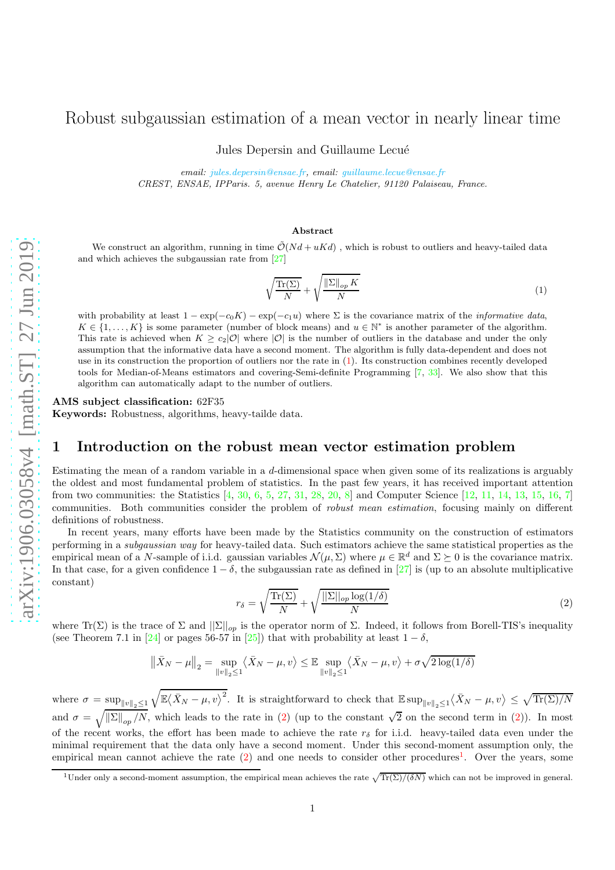# Jules Depersin and Guillaume Lecué *email: [jules.depersin@ensae.fr,](mailto:jules.depersin@ensae.fr) email: [guillaume.lecue@ensae.fr](mailto:lecueguillaume@gmail.com) CREST, ENSAE, IPParis. 5, avenue Henry Le Chatelier, 91120 Palaiseau, France.* We construct an algorithm, running in time  $\tilde{\mathcal{O}}(Nd + uKd)$ , which is robust to outliers and heavy-tailed data and which achieves the subgaussian rate from [\[27\]](#page-16-0)

#### <span id="page-0-0"></span> $\int \text{Tr}(\Sigma)$  $\frac{N}{N}$  +  $\int \left\| \Sigma \right\|_{op} K$ N (1)

with probability at least  $1 - \exp(-c_0 K) - \exp(-c_1 u)$  where  $\Sigma$  is the covariance matrix of the *informative data*,  $K \in \{1, \ldots, K\}$  is some parameter (number of block means) and  $u \in \mathbb{N}^*$  is another parameter of the algorithm. This rate is achieved when  $K \geq c_2|\mathcal{O}|$  where  $|\mathcal{O}|$  is the number of outliers in the database and under the only assumption that the informative data have a second moment. The algorithm is fully data-dependent and does not use in its construction the proportion of outliers nor the rate in [\(1\)](#page-0-0). Its construction combines recently developed tools for Median-of-Means estimators and covering-Semi-definite Programming [\[7,](#page-15-0) [33\]](#page-16-1). We also show that this algorithm can automatically adapt to the number of outliers.

Robust subgaussian estimation of a mean vector in nearly linear time

Abstract

AMS subject classification: 62F35

Keywords: Robustness, algorithms, heavy-tailde data.

### 1 Introduction on the robust mean vector estimation problem

Estimating the mean of a random variable in a  $d$ -dimensional space when given some of its realizations is arguably the oldest and most fundamental problem of statistics. In the past few years, it has received important attention from two communities: the Statistics [\[4,](#page-15-1) [30,](#page-16-2) [6,](#page-15-2) [5,](#page-15-3) [27,](#page-16-0) [31,](#page-16-3) [28,](#page-16-4) [20,](#page-16-5) [8\]](#page-15-4) and Computer Science [\[12,](#page-15-5) [11,](#page-15-6) [14,](#page-15-7) [13,](#page-15-8) [15,](#page-15-9) [16,](#page-15-10) [7\]](#page-15-0) communities. Both communities consider the problem of robust mean estimation, focusing mainly on different definitions of robustness.

In recent years, many efforts have been made by the Statistics community on the construction of estimators performing in a subgaussian way for heavy-tailed data. Such estimators achieve the same statistical properties as the empirical mean of a N-sample of i.i.d. gaussian variables  $\mathcal{N}(\mu, \Sigma)$  where  $\mu \in \mathbb{R}^d$  and  $\Sigma \succeq 0$  is the covariance matrix. In that case, for a given confidence  $1 - \delta$ , the subgaussian rate as defined in [\[27\]](#page-16-0) is (up to an absolute multiplicative constant)

<span id="page-0-1"></span>
$$
r_{\delta} = \sqrt{\frac{\text{Tr}(\Sigma)}{N}} + \sqrt{\frac{||\Sigma||_{op}\log(1/\delta)}{N}}
$$
(2)

where  $\text{Tr}(\Sigma)$  is the trace of  $\Sigma$  and  $||\Sigma||_{op}$  is the operator norm of  $\Sigma$ . Indeed, it follows from Borell-TIS's inequality (see Theorem 7.1 in [\[24\]](#page-16-6) or pages 56-57 in [\[25\]](#page-16-7)) that with probability at least  $1 - \delta$ ,

$$
\|\bar{X}_N - \mu\|_2 = \sup_{\|v\|_2 \le 1} \langle \bar{X}_N - \mu, v \rangle \le \mathbb{E} \sup_{\|v\|_2 \le 1} \langle \bar{X}_N - \mu, v \rangle + \sigma \sqrt{2 \log(1/\delta)}
$$

where  $\sigma = \sup_{\|v\|_2 \leq 1} \sqrt{\mathbb{E}\langle \bar{X}_N - \mu, v \rangle^2}$ . It is straightforward to check that  $\mathbb{E} \sup_{\|v\|_2 \leq 1} \langle \bar{X}_N - \mu, v \rangle \leq \sqrt{\text{Tr}(\Sigma)/N}$ and  $\sigma = \sqrt{\|\Sigma\|_{op}/N}$ , which leads to the rate in [\(2\)](#page-0-1) (up to the constant  $\sqrt{2}$  on the second term in (2)). In most of the recent works, the effort has been made to achieve the rate  $r_{\delta}$  for i.i.d. heavy-tailed data even under the minimal requirement that the data only have a second moment. Under this second-moment assumption only, the empirical mean cannot achieve the rate [\(2\)](#page-0-1) and one needs to consider other procedures<sup>[1](#page-0-2)</sup>. Over the years, some

<span id="page-0-2"></span><sup>&</sup>lt;sup>1</sup>Under only a second-moment assumption, the empirical mean achieves the rate  $\sqrt{\text{Tr}(\Sigma)/(\delta N)}$  which can not be improved in general.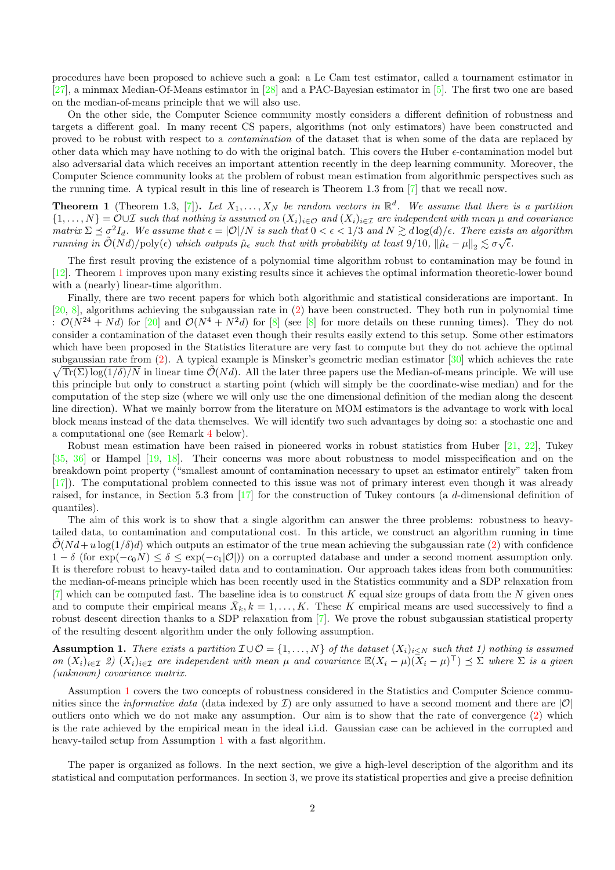procedures have been proposed to achieve such a goal: a Le Cam test estimator, called a tournament estimator in [\[27\]](#page-16-0), a minmax Median-Of-Means estimator in [\[28\]](#page-16-4) and a PAC-Bayesian estimator in [\[5\]](#page-15-3). The first two one are based on the median-of-means principle that we will also use.

On the other side, the Computer Science community mostly considers a different definition of robustness and targets a different goal. In many recent CS papers, algorithms (not only estimators) have been constructed and proved to be robust with respect to a contamination of the dataset that is when some of the data are replaced by other data which may have nothing to do with the original batch. This covers the Huber  $\epsilon$ -contamination model but also adversarial data which receives an important attention recently in the deep learning community. Moreover, the Computer Science community looks at the problem of robust mean estimation from algorithmic perspectives such as the running time. A typical result in this line of research is Theorem 1.3 from [\[7\]](#page-15-0) that we recall now.

<span id="page-1-0"></span>**Theorem 1** (Theorem 1.3, [\[7\]](#page-15-0)). Let  $X_1, \ldots, X_N$  be random vectors in  $\mathbb{R}^d$ . We assume that there is a partition  $\{1,\ldots,N\} = \mathcal{O} \cup \mathcal{I}$  such that nothing is assumed on  $(X_i)_{i \in \mathcal{O}}$  and  $(X_i)_{i \in \mathcal{I}}$  are independent with mean  $\mu$  and covariance matrix  $\Sigma \preceq \sigma^2 I_d$ . We assume that  $\epsilon = |\mathcal{O}|/N$  is such that  $0 < \epsilon < 1/3$  and  $N \gtrsim d \log(d)/\epsilon$ . There exists an algorithm running in  $\tilde{\mathcal{O}}(Nd)/poly(\epsilon)$  which outputs  $\hat{\mu}_{\epsilon}$  such that with probability at least  $9/10$ ,  $\|\hat{\mu}_{\epsilon} - \mu\|_2 \lesssim \sigma\sqrt{\epsilon}$ .

The first result proving the existence of a polynomial time algorithm robust to contamination may be found in [\[12\]](#page-15-5). Theorem [1](#page-1-0) improves upon many existing results since it achieves the optimal information theoretic-lower bound with a (nearly) linear-time algorithm.

Finally, there are two recent papers for which both algorithmic and statistical considerations are important. In [\[20,](#page-16-5) [8\]](#page-15-4), algorithms achieving the subgaussian rate in [\(2\)](#page-0-1) have been constructed. They both run in polynomial time :  $\mathcal{O}(N^{24} + Nd)$  for [\[20\]](#page-16-5) and  $\mathcal{O}(N^4 + N^2d)$  for [\[8\]](#page-15-4) (see [8] for more details on these running times). They do not consider a contamination of the dataset even though their results easily extend to this setup. Some other estimators which have been proposed in the Statistics literature are very fast to compute but they do not achieve the optimal subgaussian rate from ([2\)](#page-0-1). A typical example is Minsker's geometric median estimator [\[30\]](#page-16-2) which achieves the rate  $\sqrt{\text{Tr}(\Sigma) \log(1/\delta)/N}$  in linear time  $\tilde{\mathcal{O}}(Nd)$ . All the later three papers use the Median-of-means principle. We will use this principle but only to construct a starting point (which will simply be the coordinate-wise median) and for the computation of the step size (where we will only use the one dimensional definition of the median along the descent line direction). What we mainly borrow from the literature on MOM estimators is the advantage to work with local block means instead of the data themselves. We will identify two such advantages by doing so: a stochastic one and a computational one (see Remark [4](#page-12-0) below).

Robust mean estimation have been raised in pioneered works in robust statistics from Huber [\[21,](#page-16-8) [22\]](#page-16-9), Tukey [\[35,](#page-16-10) [36\]](#page-16-11) or Hampel [\[19,](#page-16-12) [18\]](#page-15-11). Their concerns was more about robustness to model misspecification and on the breakdown point property ("smallest amount of contamination necessary to upset an estimator entirely" taken from [\[17\]](#page-15-12)). The computational problem connected to this issue was not of primary interest even though it was already raised, for instance, in Section 5.3 from [\[17\]](#page-15-12) for the construction of Tukey contours (a d-dimensional definition of quantiles).

The aim of this work is to show that a single algorithm can answer the three problems: robustness to heavytailed data, to contamination and computational cost. In this article, we construct an algorithm running in time  $\mathcal{O}(Nd + u \log(1/\delta)d)$  which outputs an estimator of the true mean achieving the subgaussian rate [\(2\)](#page-0-1) with confidence  $1 - \delta$  (for  $\exp(-c_0N) \leq \delta \leq \exp(-c_1|\mathcal{O}|)$ ) on a corrupted database and under a second moment assumption only. It is therefore robust to heavy-tailed data and to contamination. Our approach takes ideas from both communities: the median-of-means principle which has been recently used in the Statistics community and a SDP relaxation from  $[7]$  which can be computed fast. The baseline idea is to construct K equal size groups of data from the N given ones and to compute their empirical means  $\bar{X}_k, k = 1, \ldots, K$ . These K empirical means are used successively to find a robust descent direction thanks to a SDP relaxation from [\[7\]](#page-15-0). We prove the robust subgaussian statistical property of the resulting descent algorithm under the only following assumption.

<span id="page-1-1"></span>Assumption 1. There exists a partition  $\mathcal{I} \cup \mathcal{O} = \{1, ..., N\}$  of the dataset  $(X_i)_{i\leq N}$  such that 1) nothing is assumed on  $(X_i)_{i\in\mathcal{I}}$  2)  $(X_i)_{i\in\mathcal{I}}$  are independent with mean  $\mu$  and covariance  $\mathbb{E}(X_i - \mu)(X_i - \mu)^{\top} \preceq \Sigma$  where  $\Sigma$  is a given (unknown) covariance matrix.

Assumption [1](#page-1-1) covers the two concepts of robustness considered in the Statistics and Computer Science communities since the *informative data* (data indexed by  $\mathcal{I}$ ) are only assumed to have a second moment and there are  $|\mathcal{O}|$ outliers onto which we do not make any assumption. Our aim is to show that the rate of convergence [\(2\)](#page-0-1) which is the rate achieved by the empirical mean in the ideal i.i.d. Gaussian case can be achieved in the corrupted and heavy-tailed setup from Assumption [1](#page-1-1) with a fast algorithm.

The paper is organized as follows. In the next section, we give a high-level description of the algorithm and its statistical and computation performances. In section 3, we prove its statistical properties and give a precise definition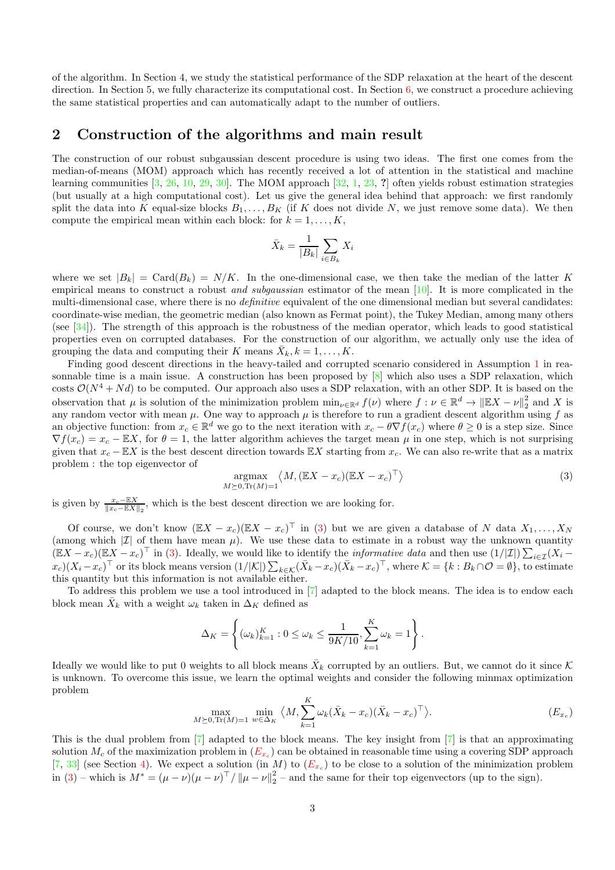of the algorithm. In Section 4, we study the statistical performance of the SDP relaxation at the heart of the descent direction. In Section 5, we fully characterize its computational cost. In Section [6,](#page-13-0) we construct a procedure achieving the same statistical properties and can automatically adapt to the number of outliers.

#### 2 Construction of the algorithms and main result

The construction of our robust subgaussian descent procedure is using two ideas. The first one comes from the median-of-means (MOM) approach which has recently received a lot of attention in the statistical and machine learning communities  $[3, 26, 10, 29, 30]$  $[3, 26, 10, 29, 30]$  $[3, 26, 10, 29, 30]$  $[3, 26, 10, 29, 30]$  $[3, 26, 10, 29, 30]$  $[3, 26, 10, 29, 30]$  $[3, 26, 10, 29, 30]$  $[3, 26, 10, 29, 30]$ . The MOM approach  $[32, 1, 23, ?]$  $[32, 1, 23, ?]$  $[32, 1, 23, ?]$  $[32, 1, 23, ?]$  $[32, 1, 23, ?]$  often yields robust estimation strategies (but usually at a high computational cost). Let us give the general idea behind that approach: we first randomly split the data into K equal-size blocks  $B_1, \ldots, B_K$  (if K does not divide N, we just remove some data). We then compute the empirical mean within each block: for  $k = 1, \ldots, K$ ,

$$
\bar{X}_k = \frac{1}{|B_k|} \sum_{i \in B_k} X_i
$$

where we set  $|B_k| = \text{Card}(B_k) = N/K$ . In the one-dimensional case, we then take the median of the latter K empirical means to construct a robust and subgaussian estimator of the mean [\[10\]](#page-15-14). It is more complicated in the multi-dimensional case, where there is no *definitive* equivalent of the one dimensional median but several candidates: coordinate-wise median, the geometric median (also known as Fermat point), the Tukey Median, among many others (see [\[34\]](#page-16-17)). The strength of this approach is the robustness of the median operator, which leads to good statistical properties even on corrupted databases. For the construction of our algorithm, we actually only use the idea of grouping the data and computing their K means  $\bar{X}_k, k = 1, \ldots, K$ .

Finding good descent directions in the heavy-tailed and corrupted scenario considered in Assumption [1](#page-1-1) in reasonnable time is a main issue. A construction has been proposed by [\[8\]](#page-15-4) which also uses a SDP relaxation, which costs  $\mathcal{O}(N^4 + Nd)$  to be computed. Our approach also uses a SDP relaxation, with an other SDP. It is based on the observation that  $\mu$  is solution of the minimization problem  $\min_{\nu \in \mathbb{R}^d} f(\nu)$  where  $f : \nu \in \mathbb{R}^d \to ||\mathbb{E}X - \nu||_2^2$  and X is any random vector with mean  $\mu$ . One way to approach  $\mu$  is therefore to run a gradient descent algorithm using f as an objective function: from  $x_c \in \mathbb{R}^d$  we go to the next iteration with  $x_c - \theta \nabla f(x_c)$  where  $\theta \ge 0$  is a step size. Since  $\nabla f(x_c) = x_c - \mathbb{E}X$ , for  $\theta = 1$ , the latter algorithm achieves the target mean  $\mu$  in one step, which is not surprising given that  $x_c - EX$  is the best descent direction towards EX starting from  $x_c$ . We can also re-write that as a matrix problem : the top eigenvector of

<span id="page-2-0"></span>
$$
\underset{M \succeq 0, \text{Tr}(M) = 1}{\text{argmax}} \langle M, (\mathbb{E}X - x_c)(\mathbb{E}X - x_c)^{\top} \rangle \tag{3}
$$

is given by  $\frac{x_c - \mathbb{E}X}{\|x_c - \mathbb{E}X\|_2}$ , which is the best descent direction we are looking for.

Of course, we don't know  $(\mathbb{E}X - x_c)(\mathbb{E}X - x_c)^\top$  in [\(3\)](#page-2-0) but we are given a database of N data  $X_1, \ldots, X_N$ (among which  $|\mathcal{I}|$  of them have mean  $\mu$ ). We use these data to estimate in a robust way the unknown quantity  $(EX - x_c)(EX - x_c)^{\top}$  in [\(3\)](#page-2-0). Ideally, we would like to identify the *informative data* and then use  $(1/|I|)\sum_{i\in I}(X_i - x_c)^{\top}$  $(x_c)(X_i - x_c)^\top$  or its block means version  $(1/|\mathcal{K}|) \sum_{k \in \mathcal{K}} (\bar{X}_k - x_c)(\bar{X}_k - x_c)^\top$ , where  $\mathcal{K} = \{k : B_k \cap \mathcal{O} = \emptyset\}$ , to estimate this quantity but this information is not available either.

To address this problem we use a tool introduced in [\[7\]](#page-15-0) adapted to the block means. The idea is to endow each block mean  $\bar{X}_k$  with a weight  $\omega_k$  taken in  $\Delta_K$  defined as

$$
\Delta_K = \left\{ (\omega_k)_{k=1}^K : 0 \le \omega_k \le \frac{1}{9K/10}, \sum_{k=1}^K \omega_k = 1 \right\}.
$$

Ideally we would like to put 0 weights to all block means  $\bar{X}_k$  corrupted by an outliers. But, we cannot do it since K is unknown. To overcome this issue, we learn the optimal weights and consider the following minmax optimization problem

<span id="page-2-1"></span>
$$
\max_{M \geq 0, \text{Tr}(M) = 1} \min_{w \in \Delta_K} \langle M, \sum_{k=1}^K \omega_k (\bar{X}_k - x_c)(\bar{X}_k - x_c)^\top \rangle. \tag{E_{x_c}}
$$

This is the dual problem from [\[7\]](#page-15-0) adapted to the block means. The key insight from [\[7\]](#page-15-0) is that an approximating solution  $M_c$  of the maximization problem in  $(E_{x_c})$  $(E_{x_c})$  $(E_{x_c})$  can be obtained in reasonable time using a covering SDP approach [\[7,](#page-15-0) [33\]](#page-16-1) (see Section [4\)](#page-8-0). We expect a solution (in M) to  $(E_{x_c})$  $(E_{x_c})$  $(E_{x_c})$  to be close to a solution of the minimization problem in [\(3\)](#page-2-0) – which is  $M^* = (\mu - \nu)(\mu - \nu)^{\top} / ||\mu - \nu||_2^2$  $\frac{2}{2}$  – and the same for their top eigenvectors (up to the sign).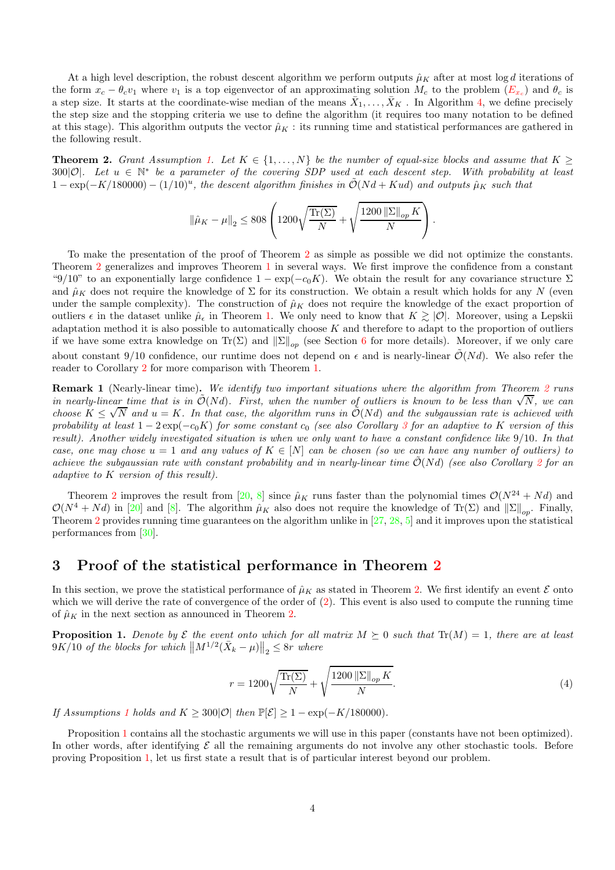At a high level description, the robust descent algorithm we perform outputs  $\hat{\mu}_K$  after at most log d iterations of the form  $x_c - \theta_c v_1$  where  $v_1$  is a top eigenvector of an approximating solution  $M_c$  to the problem  $(E_{x_c})$  $(E_{x_c})$  $(E_{x_c})$  and  $\theta_c$  is a step size. It starts at the coordinate-wise median of the means  $\bar{X}_1,\ldots,\bar{X}_K$  . In Algorithm [4,](#page-12-1) we define precisely the step size and the stopping criteria we use to define the algorithm (it requires too many notation to be defined at this stage). This algorithm outputs the vector  $\hat{\mu}_K$ : its running time and statistical performances are gathered in the following result.

<span id="page-3-0"></span>**Theorem 2.** Grant Assumption [1.](#page-1-1) Let  $K \in \{1, ..., N\}$  be the number of equal-size blocks and assume that  $K \geq$ 300|O|. Let  $u \in \mathbb{N}^*$  be a parameter of the covering SDP used at each descent step. With probability at least  $1 - \exp(-K/180000) - (1/10)^u$ , the descent algorithm finishes in  $\tilde{\mathcal{O}}(Nd + Kud)$  and outputs  $\hat{\mu}_K$  such that

$$
\left\lVert \hat{\mu}_K - \mu \right\rVert_2 \leq 808 \left( 1200 \sqrt{\frac{\text{Tr}(\Sigma)}{N}} + \sqrt{\frac{1200 \left\lVert \Sigma \right\rVert_{op} K}{N}} \right).
$$

To make the presentation of the proof of Theorem [2](#page-3-0) as simple as possible we did not optimize the constants. Theorem [2](#page-3-0) generalizes and improves Theorem [1](#page-1-0) in several ways. We first improve the confidence from a constant "9/10" to an exponentially large confidence  $1 - \exp(-c_0 K)$ . We obtain the result for any covariance structure  $\Sigma$ and  $\hat{\mu}_K$  does not require the knowledge of  $\Sigma$  for its construction. We obtain a result which holds for any N (even under the sample complexity). The construction of  $\hat{\mu}_K$  does not require the knowledge of the exact proportion of outliers  $\epsilon$  in the dataset unlike  $\hat{\mu}_{\epsilon}$  in Theorem [1.](#page-1-0) We only need to know that  $K \gtrsim |\mathcal{O}|$ . Moreover, using a Lepskii adaptation method it is also possible to automatically choose  $K$  and therefore to adapt to the proportion of outliers if we have some extra knowledge on  $\text{Tr}(\Sigma)$  and  $\|\Sigma\|_{op}$  (see Section [6](#page-13-0) for more details). Moreover, if we only care about constant 9/10 confidence, our runtime does not depend on  $\epsilon$  and is nearly-linear  $\tilde{\mathcal{O}}(Nd)$ . We also refer the reader to Corollary [2](#page-14-0) for more comparison with Theorem [1.](#page-1-0)

Remark 1 (Nearly-linear time). We identify two important situations where the algorithm from Theorem [2](#page-3-0) runs in nearly-linear time that is in  $\tilde{O}(Nd)$ . First, when the number of outliers is known to be less than  $\sqrt{N}$ , we can choose  $K \leq \sqrt{N}$  and  $u = K$ . In that case, the algorithm runs in  $\tilde{O}(Nd)$  and the subgaussian rate is achieved with probability at least  $1 - 2 \exp(-c_0 K)$  for some constant  $c_0$  (see also Corollary [3](#page-15-16) for an adaptive to K version of this result). Another widely investigated situation is when we only want to have a constant confidence like 9/10. In that case, one may chose  $u = 1$  and any values of  $K \in [N]$  can be chosen (so we can have any number of outliers) to achieve the subgaussian rate with constant probability and in nearly-linear time  $\mathcal{O}(Nd)$  (see also Corollary [2](#page-14-0) for an adaptive to K version of this result).

Theorem [2](#page-3-0) improves the result from [\[20,](#page-16-5) [8\]](#page-15-4) since  $\hat{\mu}_K$  runs faster than the polynomial times  $\mathcal{O}(N^{24} + Nd)$  and  $\mathcal{O}(N^4 + Nd)$  in [\[20\]](#page-16-5) and [\[8\]](#page-15-4). The algorithm  $\hat{\mu}_K$  also does not require the knowledge of Tr(Σ) and  $\|\Sigma\|_{op}$ . Finally, Theorem [2](#page-3-0) provides running time guarantees on the algorithm unlike in [\[27,](#page-16-0) [28,](#page-16-4) [5\]](#page-15-3) and it improves upon the statistical performances from [\[30\]](#page-16-2).

#### <span id="page-3-2"></span>3 Proof of the statistical performance in Theorem [2](#page-3-0)

In this section, we prove the statistical performance of  $\hat{\mu}_K$  as stated in Theorem [2.](#page-3-0) We first identify an event  $\mathcal E$  onto which we will derive the rate of convergence of the order of  $(2)$ . This event is also used to compute the running time of  $\hat{\mu}_K$  in the next section as announced in Theorem [2.](#page-3-0)

<span id="page-3-1"></span>**Proposition 1.** Denote by  $\mathcal E$  the event onto which for all matrix  $M \succeq 0$  such that  $\text{Tr}(M) = 1$ , there are at least  $9K/10$  of the blocks for which  $\left\| M^{1/2}(\bar{X}_k - \mu) \right\|_2 \leq 8r$  where

$$
r = 1200\sqrt{\frac{\text{Tr}(\Sigma)}{N}} + \sqrt{\frac{1200 \left\|\Sigma\right\|_{op} K}{N}}.
$$
\n
$$
(4)
$$

If Assumptions [1](#page-1-1) holds and  $K \geq 300|\mathcal{O}|$  then  $\mathbb{P}[\mathcal{E}] \geq 1 - \exp(-K/180000)$ .

Proposition [1](#page-3-1) contains all the stochastic arguments we will use in this paper (constants have not been optimized). In other words, after identifying  $\mathcal E$  all the remaining arguments do not involve any other stochastic tools. Before proving Proposition [1,](#page-3-1) let us first state a result that is of particular interest beyond our problem.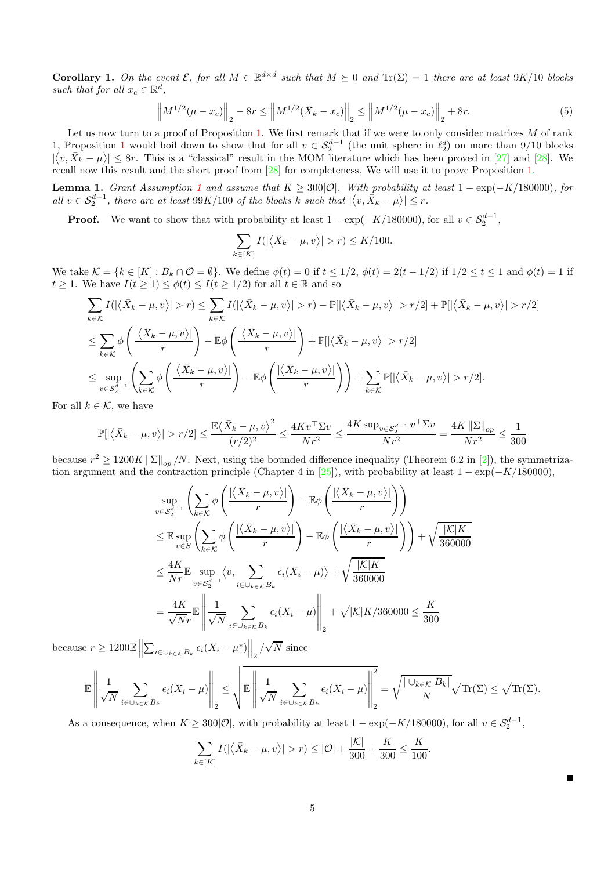<span id="page-4-1"></span>**Corollary 1.** On the event  $\mathcal{E}$ , for all  $M \in \mathbb{R}^{d \times d}$  such that  $M \succeq 0$  and  $\text{Tr}(\Sigma) = 1$  there are at least  $9K/10$  blocks such that for all  $x_c \in \mathbb{R}^d$ ,

$$
\left\|M^{1/2}(\mu - x_c)\right\|_2 - 8r \le \left\|M^{1/2}(\bar{X}_k - x_c)\right\|_2 \le \left\|M^{1/2}(\mu - x_c)\right\|_2 + 8r. \tag{5}
$$

Let us now turn to a proof of Proposition [1.](#page-3-1) We first remark that if we were to only consider matrices  $M$  of rank [1](#page-3-1), Proposition 1 would boil down to show that for all  $v \in S_2^{d-1}$  (the unit sphere in  $\ell_2^d$ ) on more than 9/10 blocks  $|\langle v, \bar{X}_k - \mu \rangle| \leq 8r$ . This is a "classical" result in the MOM literature which has been proved in [\[27\]](#page-16-0) and [\[28\]](#page-16-4). We recall now this result and the short proof from [\[28\]](#page-16-4) for completeness. We will use it to prove Proposition [1.](#page-3-1)

<span id="page-4-0"></span>**Lemma [1](#page-1-1).** Grant Assumption 1 and assume that  $K \geq 300|\mathcal{O}|$ . With probability at least 1 – exp(-K/180000), for all  $v \in S_2^{d-1}$ , there are at least  $99K/100$  of the blocks k such that  $|\langle v, \overline{X}_k - \mu \rangle| \leq r$ .

**Proof.** We want to show that with probability at least  $1 - \exp(-K/180000)$ , for all  $v \in S_2^{d-1}$ ,

$$
\sum_{k \in [K]} I(|\langle \bar{X}_k - \mu, v \rangle| > r) \le K/100.
$$

We take  $\mathcal{K} = \{k \in [K] : B_k \cap \mathcal{O} = \emptyset\}$ . We define  $\phi(t) = 0$  if  $t \leq 1/2$ ,  $\phi(t) = 2(t - 1/2)$  if  $1/2 \leq t \leq 1$  and  $\phi(t) = 1$  if  $t \geq 1$ . We have  $I(t \geq 1) \leq \phi(t) \leq I(t \geq 1/2)$  for all  $t \in \mathbb{R}$  and so

$$
\sum_{k \in \mathcal{K}} I(|\langle \bar{X}_k - \mu, v \rangle| > r) \leq \sum_{k \in \mathcal{K}} I(|\langle \bar{X}_k - \mu, v \rangle| > r) - \mathbb{P}[|\langle \bar{X}_k - \mu, v \rangle| > r/2] + \mathbb{P}[|\langle \bar{X}_k - \mu, v \rangle| > r/2]
$$
\n
$$
\leq \sum_{k \in \mathcal{K}} \phi \left( \frac{|\langle \bar{X}_k - \mu, v \rangle|}{r} \right) - \mathbb{E}\phi \left( \frac{|\langle \bar{X}_k - \mu, v \rangle|}{r} \right) + \mathbb{P}[|\langle \bar{X}_k - \mu, v \rangle| > r/2]
$$
\n
$$
\leq \sup_{v \in S_2^{d-1}} \left( \sum_{k \in \mathcal{K}} \phi \left( \frac{|\langle \bar{X}_k - \mu, v \rangle|}{r} \right) - \mathbb{E}\phi \left( \frac{|\langle \bar{X}_k - \mu, v \rangle|}{r} \right) \right) + \sum_{k \in \mathcal{K}} \mathbb{P}[|\langle \bar{X}_k - \mu, v \rangle| > r/2].
$$

For all  $k \in \mathcal{K}$ , we have

$$
\mathbb{P}[|\langle \bar{X}_k - \mu, v \rangle| > r/2] \le \frac{\mathbb{E}\langle \bar{X}_k - \mu, v \rangle^2}{(r/2)^2} \le \frac{4Kv^\top \Sigma v}{Nr^2} \le \frac{4K \sup_{v \in \mathcal{S}_2^{d-1}} v^\top \Sigma v}{Nr^2} = \frac{4K \|\Sigma\|_{op}}{Nr^2} \le \frac{1}{300}
$$

because  $r^2 \ge 1200K \|\Sigma\|_{op}/N$ . Next, using the bounded difference inequality (Theorem 6.2 in [\[2\]](#page-15-17)), the symmetriza-tion argument and the contraction principle (Chapter 4 in [\[25\]](#page-16-7)), with probability at least  $1 - \exp(-K/180000)$ ,

$$
\sup_{v \in S_2^{d-1}} \left( \sum_{k \in \mathcal{K}} \phi \left( \frac{|\langle \bar{X}_k - \mu, v \rangle|}{r} \right) - \mathbb{E} \phi \left( \frac{|\langle \bar{X}_k - \mu, v \rangle|}{r} \right) \right)
$$
\n
$$
\leq \mathbb{E} \sup_{v \in S} \left( \sum_{k \in \mathcal{K}} \phi \left( \frac{|\langle \bar{X}_k - \mu, v \rangle|}{r} \right) - \mathbb{E} \phi \left( \frac{|\langle \bar{X}_k - \mu, v \rangle|}{r} \right) \right) + \sqrt{\frac{|\mathcal{K}|K}{360000}}
$$
\n
$$
\leq \frac{4K}{Nr} \mathbb{E} \sup_{v \in S_2^{d-1}} \langle v, \sum_{i \in \bigcup_{k \in \mathcal{K}} B_k} \epsilon_i (X_i - \mu) \rangle + \sqrt{\frac{|\mathcal{K}|K}{360000}}
$$
\n
$$
= \frac{4K}{\sqrt{Nr}} \mathbb{E} \left\| \frac{1}{\sqrt{N}} \sum_{i \in \bigcup_{k \in \mathcal{K}} B_k} \epsilon_i (X_i - \mu) \right\|_2 + \sqrt{|\mathcal{K}|K/360000} \leq \frac{K}{300}
$$

because  $r \geq 1200 \mathbb{E} \left\| \sum_{i \in \cup_{k \in \mathcal{K}} B_k} \epsilon_i (X_i - \mu^*) \right\|_2 / \sqrt{N}$  since

$$
\mathbb{E}\left\|\frac{1}{\sqrt{N}}\sum_{i\in\cup_{k\in\mathcal{K}}B_k}\epsilon_i(X_i-\mu)\right\|_2\leq\sqrt{\mathbb{E}\left\|\frac{1}{\sqrt{N}}\sum_{i\in\cup_{k\in\mathcal{K}}B_k}\epsilon_i(X_i-\mu)\right\|_2^2}=\sqrt{\frac{|\cup_{k\in\mathcal{K}}B_k|}{N}}\sqrt{\mathrm{Tr}(\Sigma)}\leq\sqrt{\mathrm{Tr}(\Sigma)}.
$$

As a consequence, when  $K \geq 300|\mathcal{O}|$ , with probability at least  $1 - \exp(-K/180000)$ , for all  $v \in \mathcal{S}_2^{d-1}$ ,

$$
\sum_{k \in [K]} I(|\langle \bar{X}_k - \mu, v \rangle| > r) \leq |\mathcal{O}| + \frac{|\mathcal{K}|}{300} + \frac{K}{300} \leq \frac{K}{100}.
$$

 $\blacksquare$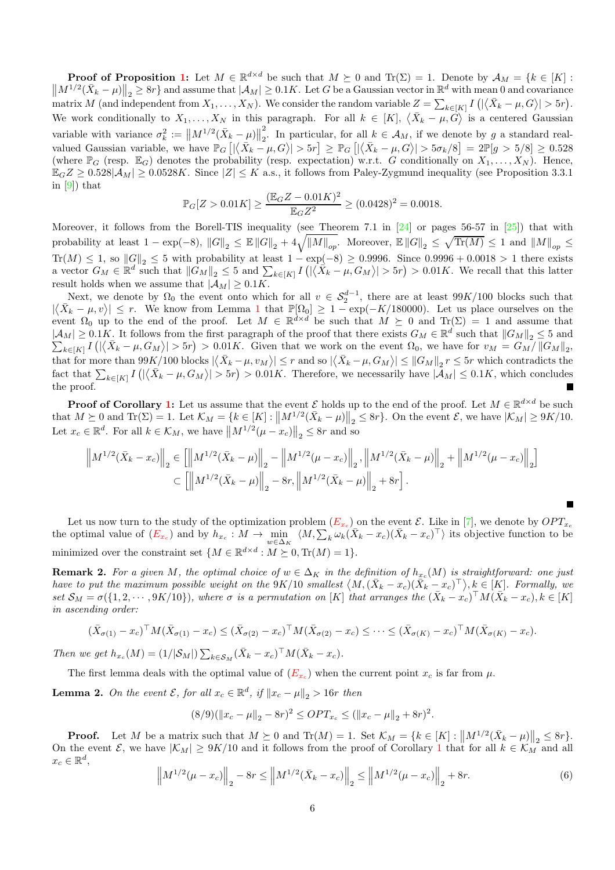**Proof of Proposition [1:](#page-3-1)** Let  $M \in \mathbb{R}^{d \times d}$  be such that  $M \succeq 0$  and  $\text{Tr}(\Sigma) = 1$ . Denote by  $\mathcal{A}_M = \{k \in [K] : \mathcal{A}_M \geq 0\}$  $\left\|M^{1/2}(\bar{X}_k-\mu)\right\|_2 \geq 8r\}$  and assume that  $|\mathcal{A}_M| \geq 0.1K$ . Let G be a Gaussian vector in  $\mathbb{R}^d$  with mean 0 and covariance matrix M (and independent from  $X_1, \ldots, X_N$ ). We consider the random variable  $Z = \sum_{k \in [K]} I(|\langle \bar{X}_k - \mu, G \rangle| > 5r)$ . We work conditionally to  $X_1, \ldots, X_N$  in this paragraph. For all  $k \in [K]$ ,  $\langle \bar{X}_k - \mu, \dot{G} \rangle$  is a centered Gaussian variable with variance  $\sigma_k^2 := ||M^{1/2}(\bar{X}_k - \mu)||$ 2 2. In particular, for all  $k \in A_M$ , if we denote by g a standard realvalued Gaussian variable, we have  $\mathbb{P}_G$   $[|\langle \bar{X}_k - \mu, G \rangle| > 5r] \geq \mathbb{P}_G$   $[|\langle \bar{X}_k - \mu, G \rangle| > 5\sigma_k/8] = 2\mathbb{P}[g > 5/8] \geq 0.528$ (where  $\mathbb{P}_G$  (resp.  $\mathbb{E}_G$ ) denotes the probability (resp. expectation) w.r.t. G conditionally on  $X_1, \ldots, X_N$ ). Hence,  $\mathbb{E}_G Z \geq 0.528|\mathcal{A}_M| \geq 0.0528K$ . Since  $|Z| \leq K$  a.s., it follows from Paley-Zygmund inequality (see Proposition 3.3.1) in [\[9\]](#page-15-18)) that

$$
\mathbb{P}_G[Z > 0.01K] \ge \frac{(\mathbb{E}_G Z - 0.01K)^2}{\mathbb{E}_G Z^2} \ge (0.0428)^2 = 0.0018.
$$

Moreover, it follows from the Borell-TIS inequality (see Theorem 7.1 in [\[24\]](#page-16-6) or pages 56-57 in [\[25\]](#page-16-7)) that with probability at least  $1 - \exp(-8)$ ,  $||G||_2 \leq \mathbb{E} ||G||_2 + 4\sqrt{||M||_{op}}$ . Moreover,  $\mathbb{E} ||G||_2 \leq \sqrt{\text{Tr}(M)} \leq 1$  and  $||M||_{op} \leq$  $\text{Tr}(M) \leq 1$ , so  $||G||_2 \leq 5$  with probability at least  $1 - \exp(-8) \geq 0.9996$ . Since  $0.9996 + 0.0018 > 1$  there exists a vector  $G_M \in \mathbb{R}^d$  such that  $\|\tilde{G}_M\|_2 \leq 5$  and  $\sum_{k \in [K]} I(|\langle \tilde{X}_k - \mu, G_M \rangle| > 5r) > 0.01K$ . We recall that this latter result holds when we assume that  $|\mathcal{A}_M| \geq 0.1K$ .

Next, we denote by  $\Omega_0$  the event onto which for all  $v \in S_2^{d-1}$ , there are at least 99K/100 blocks such that  $|\langle \bar{X}_k - \mu, v \rangle| \leq r$ . We know from Lemma [1](#page-4-0) that  $\mathbb{P}[\Omega_0] \geq 1 - \exp(-K/180000)$ . Let us place ourselves on the event  $\Omega_0$  up to the end of the proof. Let  $M \in \mathbb{R}^{d \times d}$  be such that  $M \succeq 0$  and  $\text{Tr}(\Sigma) = 1$  and assume that  $|A_M| \ge 0.1K$ . It follows from the first paragraph of the proof that there exists  $G_M \in \mathbb{R}^d$  such that  $||G_M||_2 \le 5$  and  $\sum_{k\in[K]} I\left( |\langle \bar{X}_k - \mu, G_M \rangle| > 5r \right) > 0.01K$ . Given that we work on the event  $\Omega_0$ , we have for  $v_M = G_M / ||G_M||_2$ , that for more than  $99K/100$  blocks  $|\langle \bar{X}_k - \mu, v_M \rangle| \leq r$  and so  $|\langle \bar{X}_k - \mu, G_M \rangle| \leq ||G_M||_2 r \leq 5r$  which contradicts the fact that  $\sum_{k\in[K]} I(|\langle \bar{X}_k - \mu, G_M \rangle| > 5r) > 0.01K$ . Therefore, we necessarily have  $|\mathcal{A}_M| \leq 0.1K$ , which concludes the proof.

**Proof of Corollary [1:](#page-4-1)** Let us assume that the event  $\mathcal{E}$  holds up to the end of the proof. Let  $M \in \mathbb{R}^{d \times d}$  be such that  $M \succeq 0$  and  $\text{Tr}(\Sigma) = 1$ . Let  $\mathcal{K}_M = \{k \in [K] : ||M^{1/2}(\bar{X}_k - \mu)||_2 \leq 8r\}$ . On the event  $\mathcal{E}$ , we have  $|\mathcal{K}_M| \geq 9K/10$ . Let  $x_c \in \mathbb{R}^d$ . For all  $k \in \mathcal{K}_M$ , we have  $||M^{1/2}(\mu - x_c)||_2 \leq 8r$  and so

$$
\left\|M^{1/2}(\bar{X}_k - x_c)\right\|_2 \in \left[\left\|M^{1/2}(\bar{X}_k - \mu)\right\|_2 - \left\|M^{1/2}(\mu - x_c)\right\|_2, \left\|M^{1/2}(\bar{X}_k - \mu)\right\|_2 + \left\|M^{1/2}(\mu - x_c)\right\|_2\right]
$$
  

$$
\subset \left[\left\|M^{1/2}(\bar{X}_k - \mu)\right\|_2 - 8r, \left\|M^{1/2}(\bar{X}_k - \mu)\right\|_2 + 8r\right].
$$

Let us now turn to the study of the optimization problem  $(E_{x_c})$  $(E_{x_c})$  $(E_{x_c})$  on the event  $\mathcal{E}$ . Like in [\[7\]](#page-15-0), we denote by  $OPT_{x_c}$ the optimal value of  $(E_{x_c})$  $(E_{x_c})$  $(E_{x_c})$  and by  $h_{x_c} : M \to \min_{w \in \Delta_K} \langle M, \sum_k \omega_k (\bar{X}_k - x_c)(\bar{X}_k - x_c)^\top \rangle$  its objective function to be minimized over the constraint set  $\{M \in \mathbb{R}^{d \times d} : M \succeq 0, \text{Tr}(M) = 1\}.$ 

<span id="page-5-2"></span>**Remark 2.** For a given M, the optimal choice of  $w \in \Delta_K$  in the definition of  $h_{x_c}(M)$  is straightforward: one just have to put the maximum possible weight on the  $9K/10$  smallest  $\langle M, (\bar{X}_k - x_c)(\bar{X}_k - x_c)^\top \rangle, k \in [K]$ . Formally, we set  $S_M = \sigma({1, 2, \cdots, 9K/10})$ , where  $\sigma$  is a permutation on [K] that arranges the  $(\bar{X}_k - x_c)^{\top} M (\bar{X}_k - x_c)$ ,  $k \in [K]$ in ascending order:

$$
(\bar{X}_{\sigma(1)} - x_c)^\top M (\bar{X}_{\sigma(1)} - x_c) \leq (\bar{X}_{\sigma(2)} - x_c)^\top M (\bar{X}_{\sigma(2)} - x_c) \leq \dots \leq (\bar{X}_{\sigma(K)} - x_c)^\top M (\bar{X}_{\sigma(K)} - x_c).
$$

Then we get  $h_{x_c}(M) = (1/|\mathcal{S}_M|) \sum_{k \in \mathcal{S}_M} (\bar{X}_k - x_c)^\top M (\bar{X}_k - x_c)$ .

The first lemma deals with the optimal value of  $(E_{x_c})$  $(E_{x_c})$  $(E_{x_c})$  when the current point  $x_c$  is far from  $\mu$ .

<span id="page-5-1"></span>**Lemma 2.** On the event  $\mathcal{E}$ , for all  $x_c \in \mathbb{R}^d$ , if  $||x_c - \mu||_2 > 16r$  then

$$
(8/9)(\|x_c - \mu\|_2 - 8r)^2 \le OPT_{x_c} \le (\|x_c - \mu\|_2 + 8r)^2
$$

**Proof.** Let M be a matrix such that  $M \succeq 0$  and  $\text{Tr}(M) = 1$ . Set  $\mathcal{K}_M = \{k \in [K] : ||M^{1/2}(\bar{X}_k - \mu)||_2 \leq 8r\}$ . On the event E, we have  $|K_M| \ge 9K/10$  $|K_M| \ge 9K/10$  $|K_M| \ge 9K/10$  and it follows from the proof of Corollary 1 that for all  $k \in \mathcal{K}_M$  and all  $x_c \in \mathbb{R}^d$ ,

<span id="page-5-0"></span>
$$
\left\|M^{1/2}(\mu - x_c)\right\|_2 - 8r \le \left\|M^{1/2}(\bar{X}_k - x_c)\right\|_2 \le \left\|M^{1/2}(\mu - x_c)\right\|_2 + 8r. \tag{6}
$$

.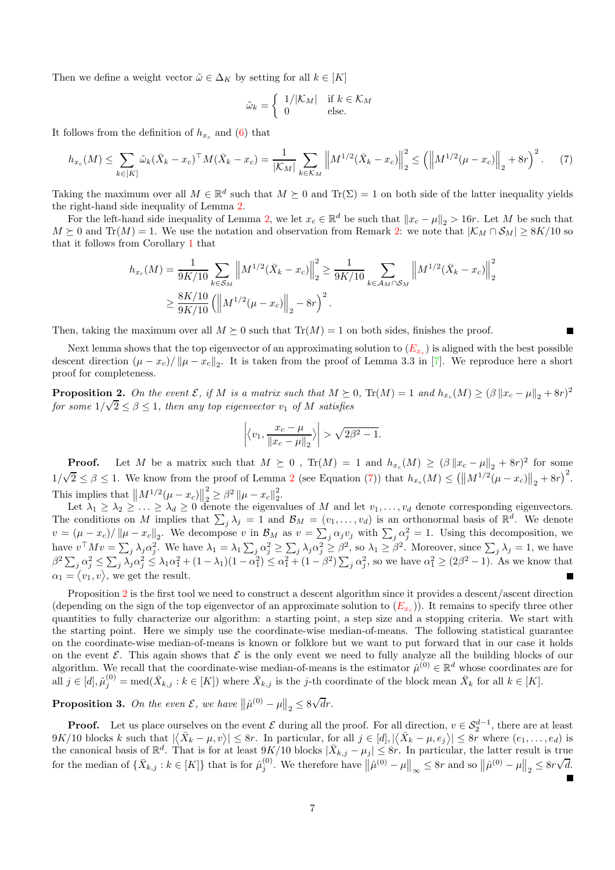Then we define a weight vector  $\tilde{\omega} \in \Delta_K$  by setting for all  $k \in [K]$ 

$$
\tilde{\omega}_k = \begin{cases} 1/|\mathcal{K}_M| & \text{if } k \in \mathcal{K}_M \\ 0 & \text{else.} \end{cases}
$$

It follows from the definition of  $h_{x_c}$  and [\(6\)](#page-5-0) that

<span id="page-6-0"></span>
$$
h_{x_c}(M) \le \sum_{k \in [K]} \tilde{\omega}_k (\bar{X}_k - x_c)^\top M (\bar{X}_k - x_c) = \frac{1}{|\mathcal{K}_M|} \sum_{k \in \mathcal{K}_M} \left\| M^{1/2} (\bar{X}_k - x_c) \right\|_2^2 \le \left( \left\| M^{1/2} (\mu - x_c) \right\|_2 + 8r \right)^2. \tag{7}
$$

Taking the maximum over all  $M \in \mathbb{R}^d$  such that  $M \succeq 0$  and  $\text{Tr}(\Sigma) = 1$  on both side of the latter inequality yields the right-hand side inequality of Lemma [2.](#page-5-1)

For the left-hand side inequality of Lemma [2,](#page-5-1) we let  $x_c \in \mathbb{R}^d$  be such that  $||x_c - \mu||_2 > 16r$ . Let M be such that  $M \succeq 0$  and Tr(M) = 1. We use the notation and observation from Remark [2:](#page-5-2) we note that  $|K_M \cap S_M| \geq 8K/10$  so that it follows from Corollary [1](#page-4-1) that

$$
h_{x_c}(M) = \frac{1}{9K/10} \sum_{k \in S_M} \left\| M^{1/2} (\bar{X}_k - x_c) \right\|_2^2 \ge \frac{1}{9K/10} \sum_{k \in A_M \cap S_M} \left\| M^{1/2} (\bar{X}_k - x_c) \right\|_2^2
$$
  
 
$$
\ge \frac{8K/10}{9K/10} \left( \left\| M^{1/2} (\mu - x_c) \right\|_2 - 8r \right)^2.
$$

Then, taking the maximum over all  $M \succeq 0$  such that  $\text{Tr}(M) = 1$  on both sides, finishes the proof.

Next lemma shows that the top eigenvector of an approximating solution to  $(E_{x_c})$  $(E_{x_c})$  $(E_{x_c})$  is aligned with the best possible descent direction  $(\mu - x_c)/\|\mu - x_c\|_2$ . It is taken from the proof of Lemma 3.3 in [\[7\]](#page-15-0). We reproduce here a short proof for completeness.

<span id="page-6-1"></span>**Proposition 2.** On the event  $\mathcal{E}$ , if M is a matrix such that  $M \succeq 0$ ,  $\text{Tr}(M) = 1$  and  $h_{x_c}(M) \geq (\beta \|x_c - \mu\|_2 + 8r)^2$ for some  $1/\sqrt{2} \le \beta \le 1$ , then any top eigenvector  $v_1$  of M satisfies

$$
\left| \left\langle v_1, \frac{x_c - \mu}{\|x_c - \mu\|_2} \right\rangle \right| > \sqrt{2\beta^2 - 1}.
$$

**Proof.** Let M be a matrix such that  $M \succeq 0$ ,  $Tr(M) = 1$  and  $h_{x_c}(M) \geq (\beta ||x_c - \mu||_2 + 8r)^2$  for some  $1/\sqrt{2} \leq \beta \leq 1$  $1/\sqrt{2} \leq \beta \leq 1$  $1/\sqrt{2} \leq \beta \leq 1$ . We know from the proof of Lemma 2 (see Equation [\(7\)](#page-6-0)) that  $h_{x_c}(M) \leq (\left\| M^{1/2}(\mu - x_c) \right\|_2 + 8r)^2$ . This implies that  $\left\| M^{1/2}(\mu - x_c) \right\|$ 2  $\frac{2}{2} \geq \beta^2 \left\| \mu - x_c \right\|_2^2$  $\frac{2}{2}$ .

Let  $\lambda_1 \geq \lambda_2 \geq \ldots \geq \lambda_d \geq 0$  denote the eigenvalues of M and let  $v_1, \ldots, v_d$  denote corresponding eigenvectors. The conditions on M implies that  $\sum_j \lambda_j = 1$  and  $\mathcal{B}_M = (v_1, \ldots, v_d)$  is an orthonormal basis of  $\mathbb{R}^d$ . We denote  $v = (\mu - x_c)/\|\mu - x_c\|_2$ . We decompose v in  $\mathcal{B}_M$  as  $v = \sum_j \alpha_j v_j$  with  $\sum_j \alpha_j^2 = 1$ . Using this decomposition, we have  $v^{\top}Mv = \sum_j \lambda_j \alpha_j^2$ . We have  $\lambda_1 = \lambda_1 \sum_j \alpha_j^2 \ge \sum_j \lambda_j \alpha_j^2 \ge \beta^2$ , so  $\lambda_1 \ge \beta^2$ . Moreover, since  $\sum_j \lambda_j = 1$ , we have  $\beta^2 \sum_j \alpha_j^2 \leq \sum_j \lambda_j \alpha_j^2 \leq \lambda_1 \alpha_1^2 + (1 - \lambda_1)(1 - \alpha_1^2) \leq \alpha_1^2 + (1 - \beta^2) \sum_j \alpha_j^2$ , so we have  $\alpha_1^2 \geq (2\beta^2 - 1)$ . As we know that  $\alpha_1 = \langle v_1, v \rangle$ , we get the result.

Proposition [2](#page-6-1) is the first tool we need to construct a descent algorithm since it provides a descent/ascent direction (depending on the sign of the top eigenvector of an approximate solution to  $(E_{x_c})$  $(E_{x_c})$  $(E_{x_c})$ ). It remains to specify three other quantities to fully characterize our algorithm: a starting point, a step size and a stopping criteria. We start with the starting point. Here we simply use the coordinate-wise median-of-means. The following statistical guarantee on the coordinate-wise median-of-means is known or folklore but we want to put forward that in our case it holds on the event  $\mathcal E$ . This again shows that  $\mathcal E$  is the only event we need to fully analyze all the building blocks of our algorithm. We recall that the coordinate-wise median-of-means is the estimator  $\hat{\mu}^{(0)} \in \mathbb{R}^d$  whose coordinates are for all  $j \in [d], \hat{\mu}_{j}^{(0)} = \text{med}(\bar{X}_{k,j} : k \in [K])$  where  $\bar{X}_{k,j}$  is the j-th coordinate of the block mean  $\bar{X}_{k}$  for all  $k \in [K]$ .

<span id="page-6-2"></span>**Proposition 3.** On the even  $\mathcal{E}$ , we have  $\|\hat{\mu}^{(0)} - \mu\|_2 \leq 8\sqrt{d}r$ .

**Proof.** Let us place ourselves on the event  $\mathcal{E}$  during all the proof. For all direction,  $v \in S_2^{d-1}$ , there are at least  $9K/10$  blocks k such that  $|\langle \bar{X}_k - \mu, v \rangle| \leq 8r$ . In particular, for all  $j \in [d], |\langle \bar{X}_k - \mu, e_j \rangle| \leq 8r$  where  $(e_1, \ldots, e_d)$  is the canonical basis of  $\mathbb{R}^d$ . That is for at least  $9K/10$  blocks  $|\bar{X}_{k,j} - \mu_j| \leq 8r$ . In particular, the latter result is true for the median of  $\{\bar{X}_{k,j}: k \in [K]\}$  that is for  $\hat{\mu}_j^{(0)}$ . We therefore have  $\|\hat{\mu}^{(0)} - \mu\|_{\infty} \leq 8r$  and so  $\|\hat{\mu}^{(0)} - \mu\|_2 \leq 8r\sqrt{d}$ .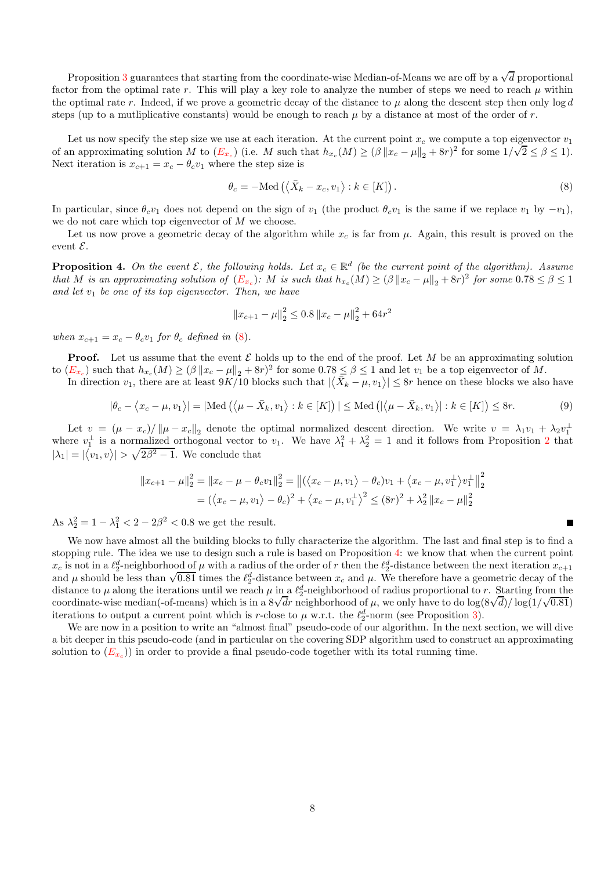Proposition [3](#page-6-2) guarantees that starting from the coordinate-wise Median-of-Means we are off by a  $\sqrt{d}$  proportional factor from the optimal rate r. This will play a key role to analyze the number of steps we need to reach  $\mu$  within the optimal rate r. Indeed, if we prove a geometric decay of the distance to  $\mu$  along the descent step then only  $\log d$ steps (up to a mutliplicative constants) would be enough to reach  $\mu$  by a distance at most of the order of r.

Let us now specify the step size we use at each iteration. At the current point  $x_c$  we compute a top eigenvector  $v_1$ of an approximating solution M to  $(E_{x_c})$  $(E_{x_c})$  $(E_{x_c})$  (i.e. M such that  $h_{x_c}(M) \ge (\beta ||x_c - \mu||_2 + 8r)^2$  for some  $1/\sqrt{2} \le \beta \le 1$ ). Next iteration is  $x_{c+1} = x_c - \theta_c v_1$  where the step size is

<span id="page-7-0"></span>
$$
\theta_c = -\text{Med}\left(\langle \bar{X}_k - x_c, v_1 \rangle : k \in [K] \right). \tag{8}
$$

П

In particular, since  $\theta_c v_1$  does not depend on the sign of  $v_1$  (the product  $\theta_c v_1$  is the same if we replace  $v_1$  by  $-v_1$ ), we do not care which top eigenvector of M we choose.

Let us now prove a geometric decay of the algorithm while  $x_c$  is far from  $\mu$ . Again, this result is proved on the event  $\mathcal{E}$ .

<span id="page-7-1"></span>**Proposition 4.** On the event  $\mathcal{E}$ , the following holds. Let  $x_c \in \mathbb{R}^d$  (be the current point of the algorithm). Assume that M is an approximating solution of  $(E_{x_c})$  $(E_{x_c})$  $(E_{x_c})$ : M is such that  $h_{x_c}(M) \geq (\beta \|x_c - \mu\|_2 + 8r)^2$  for some  $0.78 \leq \beta \leq 1$ and let  $v_1$  be one of its top eigenvector. Then, we have

$$
||x_{c+1} - \mu||_2^2 \le 0.8 ||x_c - \mu||_2^2 + 64r^2
$$

when  $x_{c+1} = x_c - \theta_c v_1$  for  $\theta_c$  defined in [\(8\)](#page-7-0).

**Proof.** Let us assume that the event  $\mathcal{E}$  holds up to the end of the proof. Let M be an approximating solution to  $(E_{x_c})$  $(E_{x_c})$  $(E_{x_c})$  such that  $h_{x_c}(M) \geq (\beta \|x_c - \mu\|_2 + 8r)^2$  for some  $0.78 \leq \beta \leq 1$  and let  $v_1$  be a top eigenvector of M.

In direction  $v_1$ , there are at least  $9K/10$  blocks such that  $|\langle \bar{X}_k - \mu, v_1 \rangle| \leq 8r$  hence on these blocks we also have

$$
|\theta_c - \langle x_c - \mu, v_1 \rangle| = |\text{Med}\left(\langle \mu - \bar{X}_k, v_1 \rangle : k \in [K] \right)| \leq \text{Med}\left(|\langle \mu - \bar{X}_k, v_1 \rangle| : k \in [K] \right) \leq 8r.
$$
 (9)

Let  $v = (\mu - x_c)/\|\mu - x_c\|_2$  denote the optimal normalized descent direction. We write  $v = \lambda_1 v_1 + \lambda_2 v_1^{\perp}$ where  $v_1^{\perp}$  is a normalized orthogonal vector to  $v_1$ . We have  $\lambda_1^2 + \lambda_2^2 = 1$  $\lambda_1^2 + \lambda_2^2 = 1$  $\lambda_1^2 + \lambda_2^2 = 1$  and it follows from Proposition 2 that  $|\lambda_1| = |\langle v_1, v \rangle| > \sqrt{2\beta^2 - 1}$ . We conclude that

$$
||x_{c+1} - \mu||_2^2 = ||x_c - \mu - \theta_c v_1||_2^2 = ||(\langle x_c - \mu, v_1 \rangle - \theta_c)v_1 + \langle x_c - \mu, v_1^{\perp} \rangle v_1^{\perp}||_2^2
$$
  
=  $(\langle x_c - \mu, v_1 \rangle - \theta_c)^2 + \langle x_c - \mu, v_1^{\perp} \rangle^2 \le (8r)^2 + \lambda_2^2 ||x_c - \mu||_2^2$ 

As  $\lambda_2^2 = 1 - \lambda_1^2 < 2 - 2\beta^2 < 0.8$  we get the result.

We now have almost all the building blocks to fully characterize the algorithm. The last and final step is to find a stopping rule. The idea we use to design such a rule is based on Proposition [4:](#page-7-1) we know that when the current point  $x_c$  is not in a  $\ell_2^d$ -neighborhood of  $\mu$  with a radius of the order of r then the  $\ell_2^d$ -distance between the next iteration  $x_{c+1}$ and  $\mu$  should be less than  $\sqrt{0.81}$  times the  $\ell_2^d$ -distance between  $x_c$  and  $\mu$ . We therefore have a geometric decay of the distance to  $\mu$  along the iterations until we reach  $\mu$  in a  $\ell_2^d$ -neighborhood of radius proportional to r. Starting from the coordinate-wise median(-of-means) which is in a  $8\sqrt{dr}$  neighborhood of  $\mu$ , we only have to do  $\log(8\sqrt{d})/\log(1/\sqrt{0.81})$ iterations to output a current point which is r-close to  $\mu$  w.r.t. the  $\ell_2^d$ -norm (see Proposition [3\)](#page-6-2).

We are now in a position to write an "almost final" pseudo-code of our algorithm. In the next section, we will dive a bit deeper in this pseudo-code (and in particular on the covering SDP algorithm used to construct an approximating solution to  $(E_{x_c})$  $(E_{x_c})$  $(E_{x_c})$  in order to provide a final pseudo-code together with its total running time.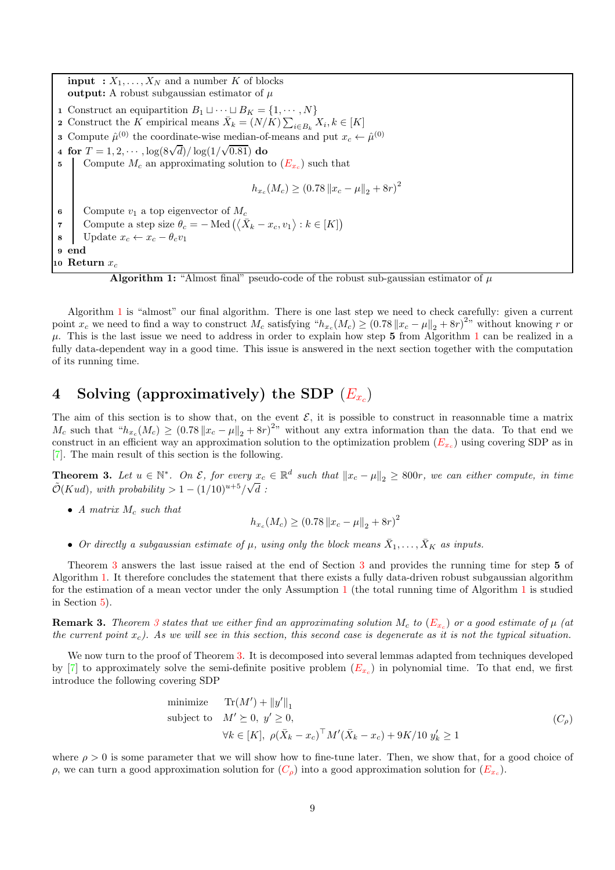<span id="page-8-1"></span>**input** :  $X_1, \ldots, X_N$  and a number K of blocks output: A robust subgaussian estimator of  $\mu$ 1 Construct an equipartition  $B_1 \sqcup \cdots \sqcup B_K = \{1, \cdots, N\}$ 2 Construct the K empirical means  $\bar{X}_k = (N/K) \sum_{i \in B_k} X_i, k \in [K]$ **3** Compute  $\hat{\mu}^{(0)}$  the coordinate-wise median-of-means and put  $x_c \leftarrow \hat{\mu}^{(0)}$ 4 for  $T = 1, 2, \cdots, \log(8\sqrt{d})/\log(1/\sqrt{0.81})$  do 5 Compute  $M_c$  an approximating solution to  $(E_{x_c})$  $(E_{x_c})$  $(E_{x_c})$  such that  $h_{x_c}(M_c) \ge (0.78 \|x_c - \mu\|_2 + 8r)^2$ 6 Compute  $v_1$  a top eigenvector of  $M_c$ 7 Compute a step size  $\theta_c = - \text{Med}(\langle \bar{X}_k - x_c, v_1 \rangle : k \in [K])$ 8 Update  $x_c \leftarrow x_c - \theta_c v_1$ 9 end 10 Return  $x_c$ 

**Algorithm 1:** "Almost final" pseudo-code of the robust sub-gaussian estimator of  $\mu$ 

Algorithm [1](#page-8-1) is "almost" our final algorithm. There is one last step we need to check carefully: given a current point  $x_c$  we need to find a way to construct  $M_c$  satisfying " $h_{x_c}(M_c) \ge (0.78 ||x_c - \mu||_2 + 8r)^{2n}$  without knowing r or  $\mu$ . This is the last issue we need to address in order to explain how step 5 from Algorithm [1](#page-8-1) can be realized in a fully data-dependent way in a good time. This issue is answered in the next section together with the computation of its running time.

## <span id="page-8-0"></span>4 Solving (approximatively) the SDP  $(E_{x_c})$  $(E_{x_c})$  $(E_{x_c})$

The aim of this section is to show that, on the event  $\mathcal{E}$ , it is possible to construct in reasonnable time a matrix  $M_c$  such that " $h_{x_c}(M_c) \ge (0.78 \|x_c - \mu\|_2 + 8r)^{2}$ " without any extra information than the data. To that end we construct in an efficient way an approximation solution to the optimization problem  $(E_{x_c})$  $(E_{x_c})$  $(E_{x_c})$  using covering SDP as in [\[7\]](#page-15-0). The main result of this section is the following.

<span id="page-8-2"></span>**Theorem 3.** Let  $u \in \mathbb{N}^*$ . On  $\mathcal{E}$ , for every  $x_c \in \mathbb{R}^d$  such that  $||x_c - \mu||_2 \ge 800r$ , we can either compute, in time  $\tilde{\mathcal{O}}(Kud)$ , with probability > 1 –  $(1/10)^{u+5}/\sqrt{d}$ :

• A matrix  $M_c$  such that

<span id="page-8-3"></span>
$$
h_{x_c}(M_c) \ge (0.78 \|x_c - \mu\|_2 + 8r)^2
$$

• Or directly a subgaussian estimate of  $\mu$ , using only the block means  $\bar{X}_1, \ldots, \bar{X}_K$  as inputs.

Theorem [3](#page-8-2) answers the last issue raised at the end of Section [3](#page-3-2) and provides the running time for step 5 of Algorithm [1.](#page-8-1) It therefore concludes the statement that there exists a fully data-driven robust subgaussian algorithm for the estimation of a mean vector under the only Assumption [1](#page-1-1) (the total running time of Algorithm [1](#page-8-1) is studied in Section [5\)](#page-12-2).

**Remark [3](#page-8-2).** Theorem 3 states that we either find an approximating solution  $M_c$  to  $(E_{x_c})$  $(E_{x_c})$  $(E_{x_c})$  or a good estimate of  $\mu$  (at the current point  $x_c$ ). As we will see in this section, this second case is degenerate as it is not the typical situation.

We now turn to the proof of Theorem [3.](#page-8-2) It is decomposed into several lemmas adapted from techniques developed by [\[7\]](#page-15-0) to approximately solve the semi-definite positive problem  $(E_{x_c})$  $(E_{x_c})$  $(E_{x_c})$  in polynomial time. To that end, we first introduce the following covering SDP

minimize 
$$
\text{Tr}(M') + ||y'||_1
$$
  
\nsubject to  $M' \succeq 0, y' \geq 0$ ,  
\n $\forall k \in [K], \ \rho(\bar{X}_k - x_c)^\top M'(\bar{X}_k - x_c) + 9K/10 \ y'_k \geq 1$  (C<sub>\rho</sub>)

where  $\rho > 0$  is some parameter that we will show how to fine-tune later. Then, we show that, for a good choice of ρ, we can turn a good approximation solution for  $(C_\rho)$  $(C_\rho)$  $(C_\rho)$  into a good approximation solution for  $(E_{x_c})$  $(E_{x_c})$  $(E_{x_c})$ .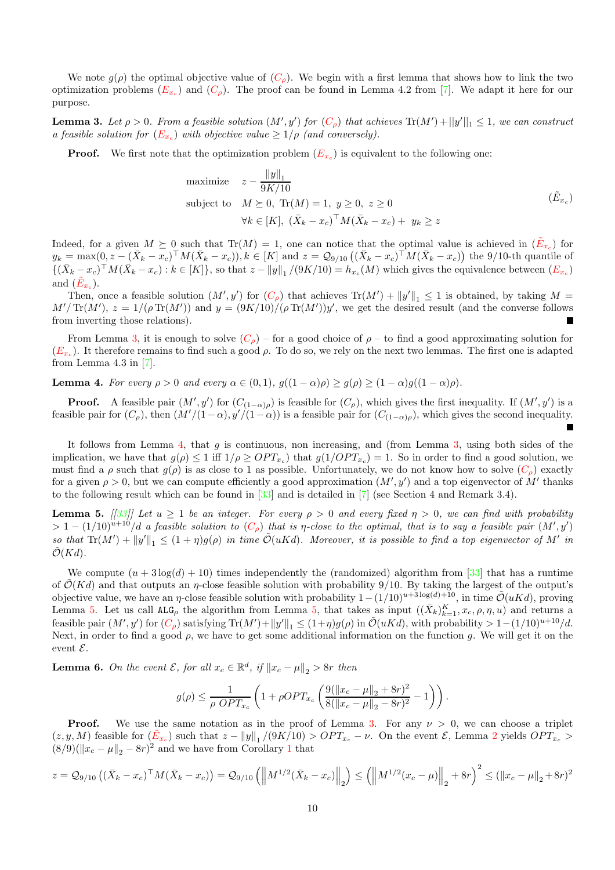We note  $q(\rho)$  the optimal objective value of  $(C_{\rho})$  $(C_{\rho})$  $(C_{\rho})$ . We begin with a first lemma that shows how to link the two optimization problems  $(E_{x_c})$  $(E_{x_c})$  $(E_{x_c})$  and  $(C_{\rho})$  $(C_{\rho})$  $(C_{\rho})$ . The proof can be found in Lemma 4.2 from [\[7\]](#page-15-0). We adapt it here for our purpose.

<span id="page-9-1"></span>**Lemma 3.** Let  $\rho > 0$ . From a feasible solution  $(M', y')$  for  $(C_\rho)$  $(C_\rho)$  $(C_\rho)$  that achieves  $Tr(M') + ||y'||_1 \leq 1$ , we can construct a feasible solution for  $(E_{x_c})$  $(E_{x_c})$  $(E_{x_c})$  with objective value  $\geq 1/\rho$  (and conversely).

**Proof.** We first note that the optimization problem  $(E_{x_c})$  $(E_{x_c})$  $(E_{x_c})$  is equivalent to the following one:

maximize 
$$
z - \frac{\|y\|_1}{9K/10}
$$
  
\nsubject to  $M \succeq 0$ , Tr $(M) = 1$ ,  $y \ge 0$ ,  $z \ge 0$   
\n $\forall k \in [K]$ ,  $(\bar{X}_k - x_c)^{\top} M (\bar{X}_k - x_c) + y_k \ge z$  (E<sub>x<sub>c</sub></sub>)

<span id="page-9-0"></span>П

Indeed, for a given  $M \succeq 0$  such that  $\text{Tr}(M) = 1$ , one can notice that the optimal value is achieved in  $(\tilde{E}_{x_c})$  $(\tilde{E}_{x_c})$  $(\tilde{E}_{x_c})$  for  $y_k = \max(0, z - (\bar{X}_k - x_c)^{\top} M(\bar{X}_k - x_c)), k \in [K]$  and  $z = \mathcal{Q}_{9/10} ((\bar{X}_k - x_c)^{\top} M (\bar{X}_k - x_c))$  the 9/10-th quantile of  $\{(\bar{X}_k - x_c)^\top M (\bar{X}_k - x_c) : k \in [K]\}\$ , so that  $z - ||y||_1 / (9K/10) = h_{x_c}(M)$  which gives the equivalence between  $(E_{x_c})$  $(E_{x_c})$  $(E_{x_c})$ and  $(\tilde{E}_{x_c})$  $(\tilde{E}_{x_c})$  $(\tilde{E}_{x_c})$ .

Then, once a feasible solution  $(M', y')$  for  $(C_\rho)$  $(C_\rho)$  $(C_\rho)$  that achieves  $Tr(M') + ||y'||_1 \leq 1$  is obtained, by taking  $M =$  $M'/\text{Tr}(M')$ ,  $z = 1/(\rho \text{Tr}(M'))$  and  $y = (9K/10)/(\rho \text{Tr}(M'))y'$ , we get the desired result (and the converse follows from inverting those relations).

From Lemma [3,](#page-9-1) it is enough to solve  $(C<sub>o</sub>)$  $(C<sub>o</sub>)$  $(C<sub>o</sub>)$  – for a good choice of  $\rho$  – to find a good approximating solution for  $(E_{x_c})$  $(E_{x_c})$  $(E_{x_c})$ . It therefore remains to find such a good  $\rho$ . To do so, we rely on the next two lemmas. The first one is adapted from Lemma 4.3 in  $[7]$ .

<span id="page-9-2"></span>**Lemma 4.** For every  $\rho > 0$  and every  $\alpha \in (0,1)$ ,  $g((1-\alpha)\rho) \geq g(\rho) \geq (1-\alpha)g((1-\alpha)\rho)$ .

**Proof.** A feasible pair  $(M', y')$  for  $(C_{(1-\alpha)\rho})$  is feasible for  $(C_{\rho})$ , which gives the first inequality. If  $(M', y')$  is a feasible pair for  $(C_\rho)$ , then  $(M'/(1-\alpha), y'/(1-\alpha))$  is a feasible pair for  $(C_{(1-\alpha)\rho})$ , which gives the second inequality.

It follows from Lemma [4,](#page-9-2) that g is continuous, non increasing, and (from Lemma [3,](#page-9-1) using both sides of the implication, we have that  $g(\rho) \leq 1$  iff  $1/\rho \geq OPT_{x_c}$  that  $g(1/OPT_{x_c}) = 1$ . So in order to find a good solution, we must find a  $\rho$  such that  $g(\rho)$  is as close to 1 as possible. Unfortunately, we do not know how to solve  $(C_{\rho})$  $(C_{\rho})$  $(C_{\rho})$  exactly for a given  $\rho > 0$ , but we can compute efficiently a good approximation  $(M', y')$  and a top eigenvector of M' thanks to the following result which can be found in [\[33\]](#page-16-1) and is detailed in [\[7\]](#page-15-0) (see Section 4 and Remark 3.4).

<span id="page-9-3"></span>**Lemma 5.** [[\[33\]](#page-16-1)] Let  $u \ge 1$  be an integer. For every  $\rho > 0$  and every fixed  $\eta > 0$ , we can find with probability  $> 1-(1/10)^{u+10}/d$  a feasible solution to  $(C_\rho)$  $(C_\rho)$  $(C_\rho)$  that is  $\eta$ -close to the optimal, that is to say a feasible pair  $(M',y')$ so that  $\text{Tr}(M') + ||y'||_1 \leq (1 + \eta)g(\rho)$  in time  $\tilde{\mathcal{O}}(uKd)$ . Moreover, it is possible to find a top eigenvector of M' in  $\mathcal{O}(Kd)$ .

We compute  $(u + 3 \log(d) + 10)$  times independently the (randomized) algorithm from [\[33\]](#page-16-1) that has a runtime of  $\mathcal{O}(Kd)$  and that outputs an  $\eta$ -close feasible solution with probability 9/10. By taking the largest of the output's objective value, we have an  $\eta$ -close feasible solution with probability  $1-(1/10)^{u+3\log(d)+10}$ , in time  $\mathcal{O}(uKd)$ , proving Lemma [5.](#page-9-3) Let us call  $ALG_\rho$  the algorithm from Lemma [5,](#page-9-3) that takes as input  $((\bar{X}_k)_{k=1}^K, x_c, \rho, \eta, u)$  and returns a feasible pair  $(M', y')$  for  $(C_\rho)$  $(C_\rho)$  $(C_\rho)$  satisfying  $Tr(M') + ||y'||_1 \le (1+\eta)g(\rho)$  in  $\tilde{\mathcal{O}}(uKd)$ , with probability  $> 1-(1/10)^{u+10}/d$ . Next, in order to find a good  $\rho$ , we have to get some additional information on the function g. We will get it on the event  $\mathcal{E}.$ 

<span id="page-9-4"></span>**Lemma 6.** On the event  $\mathcal{E}$ , for all  $x_c \in \mathbb{R}^d$ , if  $||x_c - \mu||_2 > 8r$  then

$$
g(\rho) \leq \frac{1}{\rho \ OPT_{x_c}} \left( 1 + \rho OPT_{x_c} \left( \frac{9(\|x_c - \mu\|_2 + 8r)^2}{8(\|x_c - \mu\|_2 - 8r)^2} - 1 \right) \right).
$$

**Proof.** We use the same notation as in the proof of Lemma [3.](#page-9-1) For any  $\nu > 0$ , we can choose a triplet  $(z, y, M)$  feasible for  $(\tilde{E}_{x_c})$  $(\tilde{E}_{x_c})$  $(\tilde{E}_{x_c})$  such that  $z - ||y||_1/(9K/10) > OPT_{x_c} - \nu$ . On the event  $\mathcal{E}$ , Lemma [2](#page-5-1) yields  $OPT_{x_c} >$  $(8/9)(||x_c - \mu||_2 - 8r)^2$  and we have from Corollary [1](#page-4-1) that

$$
z = Q_{9/10} \left( (\bar{X}_k - x_c)^{\top} M (\bar{X}_k - x_c) \right) = Q_{9/10} \left( \left\| M^{1/2} (\bar{X}_k - x_c) \right\|_2 \right) \le \left( \left\| M^{1/2} (x_c - \mu) \right\|_2 + 8r \right)^2 \le (\|x_c - \mu\|_2 + 8r)^2
$$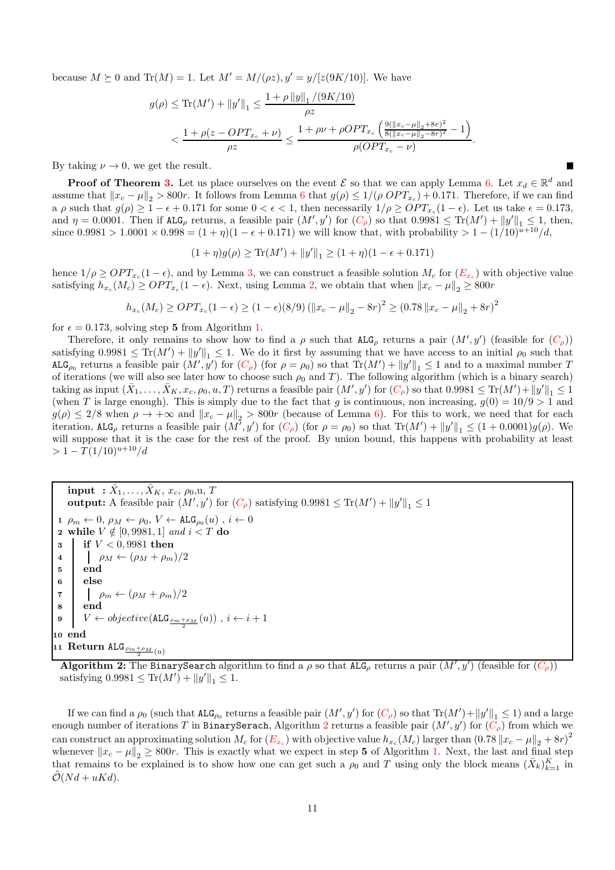because  $M \succeq 0$  and  $\text{Tr}(M) = 1$ . Let  $M' = M/(\rho z)$ ,  $y' = y/[z(9K/10)]$ . We have

$$
g(\rho) \le \text{Tr}(M') + ||y'||_1 \le \frac{1 + \rho ||y||_1 / (9K/10)}{\rho z} \n< \frac{1 + \rho(z - OPT_{x_c} + \nu)}{\rho z} \le \frac{1 + \rho \nu + \rho OPT_{x_c} \left(\frac{9(||x_c - \mu||_2 + 8r)^2}{8(||x_c - \mu||_2 - 8r)^2} - 1\right)}{\rho (OPT_{x_c} - \nu)}.
$$

By taking  $\nu \to 0$ , we get the result.

**Proof of Theorem [3.](#page-8-2)** Let us place ourselves on the event  $\mathcal{E}$  so that we can apply Lemma [6.](#page-9-4) Let  $x_d \in \mathbb{R}^d$  and assume that  $||x_c - \mu||_2 > 800r$ . It follows from Lemma [6](#page-9-4) that  $g(\rho) \le 1/(\rho OPT_{x_c}) + 0.171$ . Therefore, if we can find a  $\rho$  such that  $g(\rho) \geq 1 - \epsilon + 0.171$  for some  $0 < \epsilon < 1$ , then necessarily  $1/\rho \geq OPT_{x_c}(1-\epsilon)$ . Let us take  $\epsilon = 0.173$ , and  $\eta = 0.0001$ . Then if  $\mathsf{ALG}_{\rho}$  returns, a feasible pair  $(M', y')$  for  $(C_{\rho})$  $(C_{\rho})$  $(C_{\rho})$  so that  $0.9981 \leq \text{Tr}(M') + ||y'||_1 \leq 1$ , then, since  $0.9981 > 1.0001 \times 0.998 = (1 + \eta)(1 - \epsilon + 0.171)$  we will know that, with probability  $> 1 - (1/10)^{u+10}/d$ ,

$$
(1 + \eta)g(\rho) \ge \text{Tr}(M') + ||y'||_1 \ge (1 + \eta)(1 - \epsilon + 0.171)
$$

hence  $1/\rho \geq OPT_{x_c}(1-\epsilon)$ , and by Lemma [3,](#page-9-1) we can construct a feasible solution  $M_c$  for  $(E_{x_c})$  $(E_{x_c})$  $(E_{x_c})$  with objective value satisfying  $h_{x_c}(M_c) \geq OPT_{x_c}(1-\epsilon)$ . Next, using Lemma [2,](#page-5-1) we obtain that when  $||x_c - \mu||_2 \geq 800r$ 

$$
h_{x_c}(M_c) \ge OPT_{x_c}(1-\epsilon) \ge (1-\epsilon)(8/9) \left( \|x_c - \mu\|_2 - 8r \right)^2 \ge (0.78 \|x_c - \mu\|_2 + 8r)^2
$$

for  $\epsilon = 0.173$ , solving step 5 from Algorithm [1.](#page-8-1)

Therefore, it only remains to show how to find a  $\rho$  such that  $ALG_\rho$  returns a pair  $(M', y')$  (feasible for  $(C_\rho)$  $(C_\rho)$  $(C_\rho)$ ) satisfying  $0.9981 \leq Tr(M') + ||y'||_1 \leq 1$ . We do it first by assuming that we have access to an initial  $\rho_0$  such that ALG<sub>p0</sub> returns a feasible pair  $(M', y')$  for  $(C_{\rho})$  $(C_{\rho})$  $(C_{\rho})$  (for  $\rho = \rho_0$ ) so that  $Tr(M') + ||y'||_1 \leq 1$  and to a maximal number T of iterations (we will also see later how to choose such  $\rho_0$  and T). The following algorithm (which is a binary search)  $\text{taking as input } (\bar{X}_1,\ldots,\bar{X}_K,x_c,\rho_0,u,T) \text{ returns a feasible pair } (M',y') \text{ for } (C_\rho) \text{ so that } 0.9981 \leq \text{Tr}(M') + \|y'\|_1 \leq 1$  $\text{taking as input } (\bar{X}_1,\ldots,\bar{X}_K,x_c,\rho_0,u,T) \text{ returns a feasible pair } (M',y') \text{ for } (C_\rho) \text{ so that } 0.9981 \leq \text{Tr}(M') + \|y'\|_1 \leq 1$  $\text{taking as input } (\bar{X}_1,\ldots,\bar{X}_K,x_c,\rho_0,u,T) \text{ returns a feasible pair } (M',y') \text{ for } (C_\rho) \text{ so that } 0.9981 \leq \text{Tr}(M') + \|y'\|_1 \leq 1$ (when T is large enough). This is simply due to the fact that g is continuous, non increasing,  $g(0) = 10/9 > 1$  and  $g(\rho) \leq 2/8$  when  $\rho \to +\infty$  and  $||x_c - \mu||_2 > 800r$  (because of Lemma [6\)](#page-9-4). For this to work, we need that for each iteration, ALG<sub>p</sub> returns a feasible pair  $(M', y')$  for  $(C_p)$  $(C_p)$  $(C_p)$  (for  $\rho = \rho_0$ ) so that  $Tr(M') + ||y'||_1 \leq (1 + 0.0001)g(\rho)$ . We will suppose that it is the case for the rest of the proof. By union bound, this happens with probability at least  $> 1 - T(1/10)^{u+10}/d$ 

<span id="page-10-0"></span> $\textbf{input} \hspace{2mm} : \bar{X}_1, \dots, \bar{X}_K, \, x_c, \, \rho_0,$ u,  $T$ output: A feasible pair  $(M', y')$  for  $(C_{\rho})$  $(C_{\rho})$  $(C_{\rho})$  satisfying  $0.9981 \leq \text{Tr}(M') + ||y'||_1 \leq 1$  $1 \rho_m \leftarrow 0, \rho_M \leftarrow \rho_0, V \leftarrow \texttt{ALG}_{\rho_0}(u), i \leftarrow 0$ 2 while  $V \notin [0, 9981, 1]$  and  $i < T$  do<br>
3 if  $V < 0.9981$  then if  $V < 0,9981$  then 4  $\rho_M \leftarrow (\rho_M + \rho_m)/2$ <sup>5</sup> end <sup>6</sup> else  $\begin{array}{c|c}\n\mathbf{7} & \mathbf{0} & \rho_m \leftarrow (\rho_M + \rho_m)/2 \\
\mathbf{8} & \mathbf{end}\n\end{array}$ end 9  $V \leftarrow objective(\mathtt{ALG}_{\frac{\rho_m+\rho_M}{2}}(u))$  ,  $i \leftarrow i+1$ 10 end 11  $\mathrm{Return \ ALG}_{\frac{\rho m + \rho_M}{2}(u)}$ 

Algorithm 2: The BinarySearch algorithm to find a  $\rho$  so that ALG<sub>p</sub> returns a pair  $(M', y')$  (feasible for  $(C_\rho)$  $(C_\rho)$  $(C_\rho)$ ) satisfying  $0.9981 \leq \text{Tr}(M') + ||y'||_1 \leq 1.$ 

If we can find a  $\rho_0$  (such that  $ALG_{\rho_0}$  returns a feasible pair  $(M', y')$  for  $(C_\rho)$  $(C_\rho)$  $(C_\rho)$  so that  $Tr(M') + ||y'||_1 \leq 1$ ) and a large enough number of iterations T in BinarySerach, Algorithm [2](#page-10-0) returns a feasible pair  $(M', y')$  for  $(C_\rho)$  $(C_\rho)$  $(C_\rho)$  from which we can construct an approximating solution  $M_c$  for  $(E_{x_c})$  $(E_{x_c})$  $(E_{x_c})$  with objective value  $h_{x_c}(M_c)$  larger than  $(0.78 \|x_c - \mu\|_2 + 8r)^2$ whenever  $||x_c - \mu||_2 \ge 800r$ . This is exactly what we expect in step 5 of Algorithm [1.](#page-8-1) Next, the last and final step that remains to be explained is to show how one can get such a  $\rho_0$  and T using only the block means  $(\bar{X}_k)_{k=1}^K$  in  $\mathcal{O}(Nd + uKd)$ .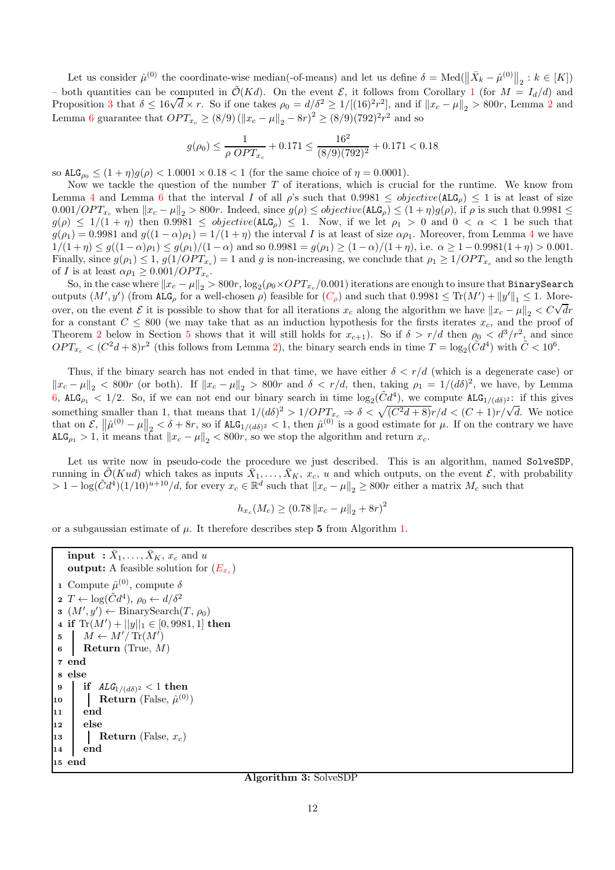Let us consider  $\hat{\mu}^{(0)}$  the coordinate-wise median(-of-means) and let us define  $\delta = \text{Med}(\|\bar{X}_k - \hat{\mu}^{(0)}\|_2 : k \in [K])$ – both quantities can be computed in  $\tilde{\mathcal{O}}(Kd)$ . On the event  $\mathcal{E}$ , it follows from Corollary [1](#page-4-1) (for  $M = I_d/d$ ) and Proposition [3](#page-6-2) that  $\delta \le 16\sqrt{d} \times r$ . So if one takes  $\rho_0 = d/\delta^2 \ge 1/[(16)^2 r^2]$  $\rho_0 = d/\delta^2 \ge 1/[(16)^2 r^2]$  $\rho_0 = d/\delta^2 \ge 1/[(16)^2 r^2]$ , and if  $||x_c - \mu||_2 > 800r$ , Lemma 2 and Lemma [6](#page-9-4) guarantee that  $OPT_{x_c} \ge (8/9) (||x_c - \mu||_2 - 8r)^2 \ge (8/9)(792)^2 r^2$  and so

$$
g(\rho_0) \le \frac{1}{\rho \ OPT_{x_c}} + 0.171 \le \frac{16^2}{(8/9)(792)^2} + 0.171 < 0.18
$$

so  $ALG_{\rho_0} \leq (1 + \eta)g(\rho) < 1.0001 \times 0.18 < 1$  (for the same choice of  $\eta = 0.0001$ ).

Now we tackle the question of the number  $T$  of iterations, which is crucial for the runtime. We know from Lemma [4](#page-9-2) and Lemma [6](#page-9-4) that the interval I of all  $\rho$ 's such that  $0.9981 \leq objective(\text{ALG}_{\rho}) \leq 1$  is at least of size  $0.001/OPT_{x_c}$  when  $||x_c - \mu||_2 > 800r$ . Indeed, since  $g(\rho) \leq objective(\text{ALG}_{\rho}) \leq (1 + \eta)g(\rho)$ , if  $\rho$  is such that  $0.9981 \leq$  $g(\rho) \leq 1/(1 + \eta)$  then 0.9981  $\leq$  objective(ALG<sub>p</sub>)  $\leq$  1. Now, if we let  $\rho_1 > 0$  and  $0 < \alpha < 1$  be such that  $g(\rho_1) = 0.9981$  and  $g((1 - \alpha)\rho_1) = 1/(1 + \eta)$  the interval I is at least of size  $\alpha \rho_1$ . Moreover, from Lemma [4](#page-9-2) we have  $1/(1+\eta) \le g((1-\alpha)\rho_1) \le g(\rho_1)/(1-\alpha)$  and so  $0.9981 = g(\rho_1) \ge (1-\alpha)/(1+\eta)$ , i.e.  $\alpha \ge 1 - 0.9981(1+\eta) > 0.001$ . Finally, since  $g(\rho_1) \leq 1$ ,  $g(1/OPT_{x_c}) = 1$  and g is non-increasing, we conclude that  $\rho_1 \geq 1/OPT_{x_c}$  and so the length of I is at least  $\alpha \rho_1 \geq 0.001/OPT_{x_c}$ .

So, in the case where  $||x_c - \mu||_2 > 800r$ ,  $\log_2(\rho_0 \times OPT_{x_c}/0.001)$  iterations are enough to insure that BinarySearch outputs  $(M', y')$  (from  $\text{ALG}_{\rho}$  for a well-chosen  $\rho$ ) feasible for  $(C_{\rho})$  $(C_{\rho})$  $(C_{\rho})$  and such that  $0.9981 \leq \text{Tr}(M') + ||y'||_1 \leq 1$ . Moreover, on the event E it is possible to show that for all iterations  $x_c$  along the algorithm we have  $||x_c - \mu||_2 < C\sqrt{dr}$ for a constant  $C \leq 800$  (we may take that as an induction hypothesis for the firsts iterates  $x_c$ , and the proof of Theorem [2](#page-3-0) below in Section [5](#page-12-2) shows that it will still holds for  $x_{c+1}$ ). So if  $\delta > r/d$  then  $\rho_0 < d^3/r^2$ , and since  $OPT_{x_c} < (C^2d + 8)r^2$  (this follows from Lemma [2\)](#page-5-1), the binary search ends in time  $T = \log_2(\tilde{C}d^4)$  with  $\tilde{C} < 10^6$ .

Thus, if the binary search has not ended in that time, we have either  $\delta < r/d$  (which is a degenerate case) or  $||x_c - \mu||_2 < 800r$  (or both). If  $||x_c - \mu||_2 > 800r$  and  $\delta < r/d$ , then, taking  $\rho_1 = 1/(d\delta)^2$ , we have, by Lemma [6,](#page-9-4) ALG<sub>p1</sub> < 1/2. So, if we can not end our binary search in time  $\log_2(\tilde{C}d^4)$ , we compute ALG<sub>1/(dδ)</sub>: if this gives something smaller than 1, that means that  $1/(d\delta)^2 > 1/OPT_{xc} \Rightarrow \delta < \sqrt{(C^2d+8)}r/d < (C+1)r/\sqrt{d}$ . We notice that on  $\mathcal{E}, \|\hat{\mu}^{(0)} - \mu\|_2 < \delta + 8r$ , so if  $\text{ALG}_{1/(d\delta)^2} < 1$ , then  $\hat{\mu}^{(0)}$  is a good estimate for  $\mu$ . If on the contrary we have  $\texttt{ALG}_{\rho_1} > 1$ , it means that  $||x_c - \mu||_2 < 800r$ , so we stop the algorithm and return  $x_c$ .

Let us write now in pseudo-code the procedure we just described. This is an algorithm, named SolveSDP, running in  $\tilde{\mathcal{O}}(Kud)$  which takes as inputs  $\bar{X}_1, \ldots, \bar{X}_K, x_c, u$  and which outputs, on the event  $\mathcal{E}$ , with probability  $> 1 - \log(\tilde{C}d^4)(1/10)^{u+10}/d$ , for every  $x_c \in \mathbb{R}^d$  such that  $||x_c - \mu||_2 \ge 800r$  either a matrix  $M_c$  such that

$$
h_{x_c}(M_c) \ge (0.78 \|x_c - \mu\|_2 + 8r)^2
$$

or a subgaussian estimate of  $\mu$ . It therefore describes step 5 from Algorithm [1.](#page-8-1)

```
input : \bar{X}_1, \ldots, \bar{X}_K, x_c and u
    output: A feasible solution for E_{x_c})1 Compute \hat{\mu}^{(0)}, compute \delta2 T \leftarrow \log(\tilde{C}d^4), \rho_0 \leftarrow d/\delta^2\mathbf{s} \left( M', y' \right) \leftarrow \text{BinarySearch}(T, \rho_0)4 if \text{Tr}(M') + ||y||_1 \in [0, 9981, 1] then
 \mathbf{5} \quad \big| \quad M \leftarrow M'/\operatorname{Tr}(M')6 Return (True, M)
 7 end
 8 else
 9 if ALG_{1/(d\delta)^2} < 1 then
10 Return (False, \hat{\mu}^{(0)})
11 end
12 else
13 | Return (False, x_c)
14 end
15 end
```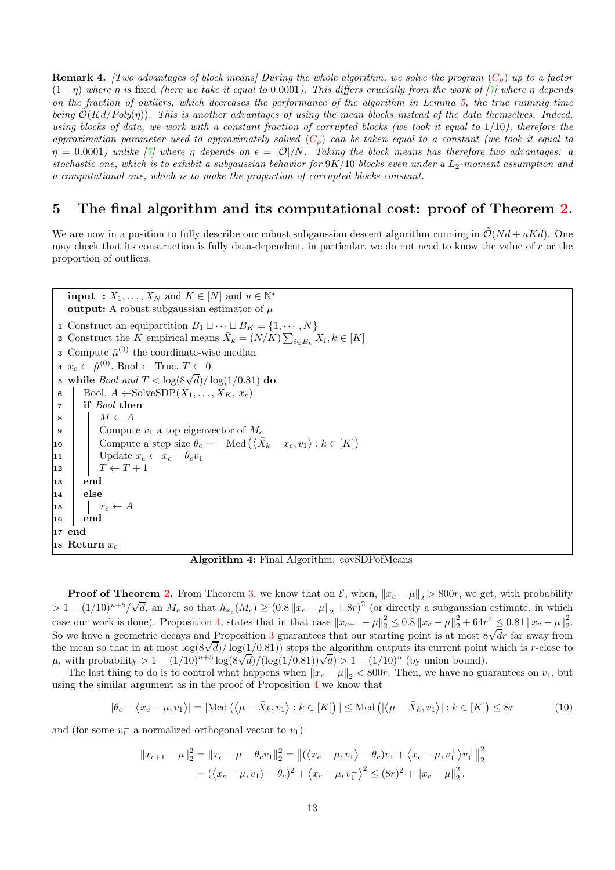<span id="page-12-0"></span>**Remark 4.** [Two advantages of block means] During the whole algorithm, we solve the program  $(C<sub>o</sub>)$  $(C<sub>o</sub>)$  $(C<sub>o</sub>)$  up to a factor  $(1+n)$  where n is fixed (here we take it equal to 0.0001). This differs crucially from the work of [\[7\]](#page-15-0) where n depends on the fraction of outliers, which decreases the performance of the algorithm in Lemma [5,](#page-9-3) the true runnnig time being  $\mathcal{O}(Kd/Poly(\eta))$ . This is another advantages of using the mean blocks instead of the data themselves. Indeed, using blocks of data, we work with a constant fraction of corrupted blocks (we took it equal to  $1/10$ ), therefore the approximation parameter used to approximately solved  $(C_\rho)$  $(C_\rho)$  $(C_\rho)$  can be taken equal to a constant (we took it equal to  $\eta = 0.0001$ ) unlike  $|\hat{\gamma}|$  where  $\eta$  depends on  $\epsilon = |\mathcal{O}|/N$ . Taking the block means has therefore two advantages: a stochastic one, which is to exhibit a subgaussian behavior for  $9K/10$  blocks even under a  $L_2$ -moment assumption and a computational one, which is to make the proportion of corrupted blocks constant.

#### <span id="page-12-2"></span>5 The final algorithm and its computational cost: proof of Theorem [2.](#page-3-0)

We are now in a position to fully describe our robust subgaussian descent algorithm running in  $\mathcal{O}(Nd + uKd)$ . One may check that its construction is fully data-dependent, in particular, we do not need to know the value of r or the proportion of outliers.

<span id="page-12-1"></span>**input** :  $X_1, \ldots, X_N$  and  $K \in [N]$  and  $u \in \mathbb{N}^*$ output: A robust subgaussian estimator of  $\mu$ 1 Construct an equipartition  $B_1 \sqcup \cdots \sqcup B_K = \{1, \cdots, N\}$ 2 Construct the K empirical means  $\bar{X}_k = (N/K) \sum_{i \in B_k} X_i, k \in [K]$ **3** Compute  $\hat{\mu}^{(0)}$  the coordinate-wise median 4  $x_c \leftarrow \hat{\mu}^{(0)}$ , Bool ← True,  $T \leftarrow 0$ 5 while *Bool and*  $T < \log(8\sqrt{d})/\log(1/0.81)$  do 6 Bool,  $A \leftarrow \text{SolveSDP}(\bar{X}_1, \ldots, \bar{X}_K, x_c)$ <sup>7</sup> if Bool then  $\begin{array}{c|c} \mathbf{8} & M \leftarrow A \\ \mathbf{9} & \text{Commut} \end{array}$ Compute  $v_1$  a top eigenvector of  $M_c$ 10 Compute a step size  $\theta_c = - \text{Med}(\langle \bar{X}_k - x_c, v_1 \rangle : k \in [K])$ 11 Update  $x_c \leftarrow x_c - \theta_c v_1$ <br>12  $T \leftarrow T + 1$  $T \leftarrow T + 1$  $13$  end  $14$  else  $\begin{array}{c|c} \n\mathbf{15} & x_c \leftarrow A \\
\mathbf{16} & \mathbf{end} \n\end{array}$ end <sup>17</sup> end 18 Return  $x_c$ 

Algorithm 4: Final Algorithm: covSDPofMeans

**Proof of Theorem [2.](#page-3-0)** From Theorem [3,](#page-8-2) we know that on  $\mathcal{E}$ , when,  $||x_c - \mu||_2 > 800r$ , we get, with probability  $> 1-(1/10)^{u+5}/\sqrt{d}$ , an  $M_c$  so that  $h_{x_c}(M_c) \ge (0.8 \|x_c - \mu\|_2 + 8r)^2$  (or directly a subgaussian estimate, in which case our work is done). Proposition [4,](#page-7-1) states that in that case  $||x_{c+1} - \mu||_2^2 \le 0.8 ||x_c - \mu||_2^2 + 64r^2 \le 0.81 ||x_c - \mu||_2^2$  $\frac{2}{2}$ . So we have a geometric decays and Proposition [3](#page-6-2) guarantees that our starting point is at most  $8\sqrt{d}r$  far away from the mean so that in at most  $\log(8\sqrt{d})/\log(1/0.81)$  steps the algorithm outputs its current point which is r-close to  $μ$ , with probability > 1 – (1/10)<sup>u+5</sup> log(8 $\sqrt{d}$ )/(log(1/0.81)) $\sqrt{d}$ ) > 1 – (1/10)<sup>u</sup> (by union bound).

The last thing to do is to control what happens when  $||x_c - \mu||_2 < 800r$ . Then, we have no guarantees on  $v_1$ , but using the similar argument as in the proof of Proposition [4](#page-7-1) we know that

$$
|\theta_c - \langle x_c - \mu, v_1 \rangle| = |\text{Med}\left(\langle \mu - \bar{X}_k, v_1 \rangle : k \in [K]\right)| \leq \text{Med}\left(|\langle \mu - \bar{X}_k, v_1 \rangle| : k \in [K]\right) \leq 8r
$$
 (10)

and (for some  $v_1^{\perp}$  a normalized orthogonal vector to  $v_1$ )

$$
||x_{c+1} - \mu||_2^2 = ||x_c - \mu - \theta_c v_1||_2^2 = ||(\langle x_c - \mu, v_1 \rangle - \theta_c)v_1 + \langle x_c - \mu, v_1^{\perp} \rangle v_1^{\perp}||_2^2
$$
  
=  $(\langle x_c - \mu, v_1 \rangle - \theta_c)^2 + \langle x_c - \mu, v_1^{\perp} \rangle^2 \le (8r)^2 + ||x_c - \mu||_2^2$ .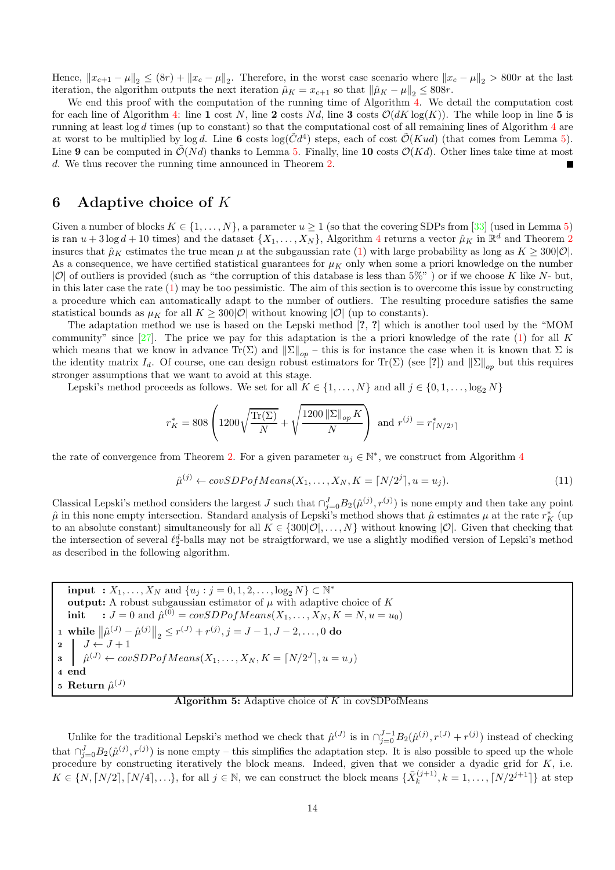Hence,  $||x_{c+1} - \mu||_2 \le (8r) + ||x_c - \mu||_2$ . Therefore, in the worst case scenario where  $||x_c - \mu||_2 > 800r$  at the last iteration, the algorithm outputs the next iteration  $\hat{\mu}_K = x_{c+1}$  so that  $\|\hat{\mu}_K - \mu\|_2 \leq 808r$ .

We end this proof with the computation of the running time of Algorithm [4.](#page-12-1) We detail the computation cost for each line of Algorithm [4:](#page-12-1) line 1 cost N, line 2 costs Nd, line 3 costs  $\mathcal{O}(dK \log(K))$ . The while loop in line 5 is running at least  $\log d$  times (up to constant) so that the computational cost of all remaining lines of Algorithm  $4$  are at worst to be multiplied by  $\log d$ . Line 6 costs  $\log(\tilde{C}d^4)$  steps, each of cost  $\tilde{O}(Kud)$  (that comes from Lemma [5\)](#page-9-3). Line 9 can be computed in  $\tilde{\mathcal{O}}(Nd)$  thanks to Lemma [5.](#page-9-3) Finally, line 10 costs  $\mathcal{O}(Kd)$ . Other lines take time at most d. We thus recover the running time announced in Theorem [2.](#page-3-0)

#### <span id="page-13-0"></span>6 Adaptive choice of K

Given a number of blocks  $K \in \{1, ..., N\}$ , a parameter  $u \geq 1$  (so that the covering SDPs from [\[33\]](#page-16-1) (used in Lemma [5\)](#page-9-3) is ran  $u + 3 \log d + 10$  times) and the dataset  $\{X_1, \ldots, X_N\}$ , Algorithm [4](#page-12-1) returns a vector  $\hat{\mu}_K$  in  $\mathbb{R}^d$  and Theorem [2](#page-3-0) insures that  $\hat{\mu}_K$  estimates the true mean  $\mu$  at the subgaussian rate [\(1\)](#page-0-0) with large probability as long as  $K \geq 300|\mathcal{O}|$ . As a consequence, we have certified statistical guarantees for  $\mu<sub>K</sub>$  only when some a priori knowledge on the number  $|\mathcal{O}|$  of outliers is provided (such as "the corruption of this database is less than  $5\%$ ") or if we choose K like N- but, in this later case the rate [\(1\)](#page-0-0) may be too pessimistic. The aim of this section is to overcome this issue by constructing a procedure which can automatically adapt to the number of outliers. The resulting procedure satisfies the same statistical bounds as  $\mu_K$  for all  $K > 300|\mathcal{O}|$  without knowing  $|\mathcal{O}|$  (up to constants).

The adaptation method we use is based on the Lepski method [?, ?] which is another tool used by the "MOM community" since  $[27]$ . The price we pay for this adaptation is the a priori knowledge of the rate  $(1)$  for all K which means that we know in advance  $\text{Tr}(\Sigma)$  and  $\|\Sigma\|_{op}$  – this is for instance the case when it is known that  $\Sigma$  is the identity matrix  $I_d$ . Of course, one can design robust estimators for Tr(Σ) (see [?]) and  $\|\Sigma\|_{op}$  but this requires stronger assumptions that we want to avoid at this stage.

Lepski's method proceeds as follows. We set for all  $K \in \{1, \ldots, N\}$  and all  $j \in \{0, 1, \ldots, \log_2 N\}$ 

$$
r_K^* = 808 \left( 1200 \sqrt{\frac{\text{Tr}(\Sigma)}{N}} + \sqrt{\frac{1200 \, ||\Sigma||_{op} K}{N}} \right) \text{ and } r^{(j)} = r_{\lceil N/2^j \rceil}^*
$$

the rate of convergence from Theorem [2.](#page-3-0) For a given parameter  $u_j \in \mathbb{N}^*$ , we construct from Algorithm [4](#page-12-1)

<span id="page-13-2"></span>
$$
\hat{\mu}^{(j)} \leftarrow covSDPofMeans(X_1, \dots, X_N, K = \lceil N/2^j \rceil, u = u_j). \tag{11}
$$

Classical Lepski's method considers the largest J such that  $\bigcap_{j=0}^{J} B_2(\hat{\mu}^{(j)}, r^{(j)})$  is none empty and then take any point  $\hat{\mu}$  in this none empty intersection. Standard analysis of Lepski's method shows that  $\hat{\mu}$  estimates  $\mu$  at the rate  $r_K^*$  (up to an absolute constant) simultaneously for all  $K \in \{300|\mathcal{O}|,\ldots,N\}$  without knowing  $|\mathcal{O}|$ . Given that checking that the intersection of several  $\ell_2^d$ -balls may not be straigtforward, we use a slightly modified version of Lepski's method as described in the following algorithm.

<span id="page-13-1"></span>
```
\ninput : 
$$
X_1, \ldots, X_N
$$
 and  $\{u_j : j = 0, 1, 2, \ldots, \log_2 N\} \subset \mathbb{N}^*$ \noutput: A robust subgaussian estimator of  $\mu$  with adaptive choice of  $K$ \ninit :  $J = 0$  and  $\hat{\mu}^{(0)} = covSDPofMeans(X_1, \ldots, X_N, K = N, u = u_0)$ \n\ni while  $\|\hat{\mu}^{(J)} - \hat{\mu}^{(j)}\|_2 \leq r^{(J)} + r^{(j)}, j = J - 1, J - 2, \ldots, 0$ \n\ndo\n\n $\frac{1}{\hat{\mu}^{(J)}} \leftarrow \frac{1}{\hat{\mu}^{(J)}} + covSDPofMeans(X_1, \ldots, X_N, K = \lfloor N/2^J \rfloor, u = u_J)$ \n\ndend\n\n    B return  $\hat{\mu}^{(J)}$ \n
```

Algorithm 5: Adaptive choice of  $K$  in covSDPofMeans

Unlike for the traditional Lepski's method we check that  $\hat{\mu}^{(J)}$  is in  $\bigcap_{j=0}^{J-1} B_2(\hat{\mu}^{(j)}, r^{(J)} + r^{(j)})$  instead of checking that  $\bigcap_{j=0}^{J} B_2(\hat{\mu}^{(j)}, r^{(j)})$  is none empty – this simplifies the adaptation step. It is also possible to speed up the whole procedure by constructing iteratively the block means. Indeed, given that we consider a dyadic grid for  $K$ , i.e.  $K \in \{N, \lceil N/2 \rceil, \lceil N/4 \rceil, ...\}$ , for all  $j \in \mathbb{N}$ , we can construct the block means  $\{\bar{X}_{k}^{(j+1)}\}$  $\{k^{(j+1)}, k = 1, \ldots, \lceil N/2^{j+1} \rceil \}$  at step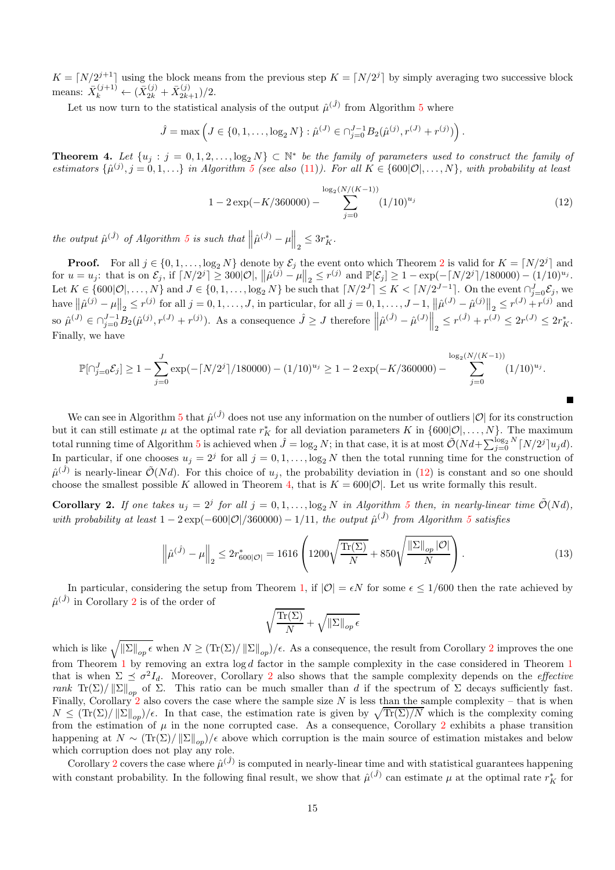$K = \lfloor N/2^{j+1} \rfloor$  using the block means from the previous step  $K = \lfloor N/2^{j} \rfloor$  by simply averaging two successive block means:  $\bar{X}_k^{(j+1)} \leftarrow (\bar{X}_{2k}^{(j)} + \bar{X}_{2k+1}^{(j)})/2.$ 

Let us now turn to the statistical analysis of the output  $\hat{\mu}^{(\hat{J})}$  from Algorithm [5](#page-13-1) where

$$
\hat{J} = \max \left( J \in \{0, 1, ..., \log_2 N\} : \hat{\mu}^{(J)} \in \bigcap_{j=0}^{J-1} B_2(\hat{\mu}^{(j)}, r^{(J)} + r^{(j)}) \right).
$$

<span id="page-14-2"></span>**Theorem 4.** Let  $\{u_j : j = 0, 1, 2, \ldots, \log_2 N\} \subset \mathbb{N}^*$  be the family of parameters used to construct the family of estimators  $\{\hat{\mu}^{(j)}, j = 0, 1, \ldots\}$  in Algorithm [5](#page-13-1) (see also [\(11\)](#page-13-2)). For all  $K \in \{600|\mathcal{O}|, \ldots, N\}$ , with probability at least

<span id="page-14-1"></span>
$$
1 - 2\exp(-K/360000) - \sum_{j=0}^{\log_2(N/(K-1))} (1/10)^{u_j}
$$
\n(12)

Е

the output  $\hat{\mu}^{(\hat{J})}$  of Algorithm [5](#page-13-1) is such that  $\left\|\hat{\mu}^{(\hat{J})} - \mu\right\|_2 \leq 3r_K^*$ .

**Proof.** For all  $j \in \{0, 1, \ldots, \log_2 N\}$  $j \in \{0, 1, \ldots, \log_2 N\}$  $j \in \{0, 1, \ldots, \log_2 N\}$  denote by  $\mathcal{E}_j$  the event onto which Theorem 2 is valid for  $K = \lfloor N/2^j \rfloor$  and for  $u = u_j$ : that is on  $\mathcal{E}_j$ , if  $\lceil N/2^j \rceil \ge 300 |\mathcal{O}|$ ,  $\lVert \hat{\mu}^{(j)} - \mu \rVert_2 \le r^{(j)}$  and  $\mathbb{P}[\mathcal{E}_j] \ge 1 - \exp(-\lceil N/2^j \rceil/180000) - (1/10)^{u_j}$ . Let  $K \in \{600|\mathcal{O}|,\ldots,N\}$  and  $J \in \{0,1,\ldots,\log_2 N\}$  be such that  $\lceil N/2^J \rceil \leq K < \lceil N/2^{J-1} \rceil$ . On the event  $\cap_{j=0}^J \mathcal{E}_j$ , we have  $\left\|\hat{\mu}^{(j)} - \mu\right\|_2 \le r^{(j)}$  for all  $j = 0, 1, \ldots, J$ , in particular, for all  $j = 0, 1, \ldots, J-1$ ,  $\left\|\hat{\mu}^{(J)} - \hat{\mu}^{(j)}\right\|_2 \le r^{(J)} + r^{(j)}$  and so  $\hat{\mu}^{(J)} \in \bigcap_{j=0}^{J-1} B_2(\hat{\mu}^{(j)}, r^{(J)} + r^{(j)})$ . As a consequence  $\hat{J} \ge J$  therefore  $\left\| \hat{\mu}^{(\hat{J})} - \hat{\mu}^{(J)} \right\|_2 \le r^{(\hat{J})} + r^{(J)} \le 2r^{(J)} \le 2r_K^*$ . Finally, we have

$$
\mathbb{P}[\cap_{j=0}^{J} \mathcal{E}_j] \ge 1 - \sum_{j=0}^{J} \exp(-\lceil N/2^j \rceil / 180000) - (1/10)^{u_j} \ge 1 - 2\exp(-K/360000) - \sum_{j=0}^{\log_2(N/(K-1))} (1/10)^{u_j}.
$$

We can see in Algorithm [5](#page-13-1) that  $\hat{\mu}^{(\hat{J})}$  does not use any information on the number of outliers  $|O|$  for its construction but it can still estimate  $\mu$  at the optimal rate  $r_K^*$  for all deviation parameters K in  $\{600|\mathcal{O}|,\ldots,N\}$ . The maximum total running time of Algorithm [5](#page-13-1) is achieved when  $\hat{J} = \log_2 N$ ; in that case, it is at most  $\tilde{\mathcal{O}}(Nd + \sum_{j=0}^{\log_2 N} \lceil N/2^j \rceil u_j d)$ . In particular, if one chooses  $u_j = 2^j$  for all  $j = 0, 1, \ldots, \log_2 N$  then the total running time for the construction of  $\hat{\mu}^{(\hat{J})}$  is nearly-linear  $\tilde{\mathcal{O}}(Nd)$ . For this choice of  $u_j$ , the probability deviation in [\(12\)](#page-14-1) is constant and so one should choose the smallest possible K allowed in Theorem [4,](#page-14-2) that is  $K = 600|\mathcal{O}|$ . Let us write formally this result.

<span id="page-14-0"></span>**Corollary 2.** If one takes  $u_j = 2^j$  for all  $j = 0, 1, \ldots, \log_2 N$  in Algorithm [5](#page-13-1) then, in nearly-linear time  $\tilde{\mathcal{O}}(Nd)$ , with probability at least  $1 - 2 \exp(-600|\mathcal{O}|/360000) - 1/11$ , the output  $\hat{\mu}^{(\hat{J})}$  from Algorithm [5](#page-13-1) satisfies

$$
\left\| \hat{\mu}^{(\hat{J})} - \mu \right\|_2 \le 2r_{600|\mathcal{O}|}^* = 1616 \left( 1200 \sqrt{\frac{\text{Tr}(\Sigma)}{N}} + 850 \sqrt{\frac{\|\Sigma\|_{op} |\mathcal{O}|}{N}} \right). \tag{13}
$$

In particular, considering the setup from Theorem [1,](#page-1-0) if  $|O| = \epsilon N$  for some  $\epsilon \le 1/600$  then the rate achieved by  $\hat{\mu}^{(\hat{J})}$  in Corollary [2](#page-14-0) is of the order of

$$
\sqrt{\frac{\text{Tr}(\Sigma)}{N}} + \sqrt{\|\Sigma\|_{op} \epsilon}
$$

which is like  $\sqrt{\|\Sigma\|_{op}\epsilon}$  when  $N \ge (\text{Tr}(\Sigma)/\|\Sigma\|_{op})/\epsilon$ . As a consequence, the result from Corollary [2](#page-14-0) improves the one from Theorem [1](#page-1-0) by removing an extra log d factor in the sample complexity in the case considered in Theorem [1](#page-1-0) that is when  $\Sigma \preceq \sigma^2 I_d$  $\Sigma \preceq \sigma^2 I_d$  $\Sigma \preceq \sigma^2 I_d$ . Moreover, Corollary 2 also shows that the sample complexity depends on the *effective* rank  $\text{Tr}(\Sigma)/||\Sigma||_{op}$  of  $\Sigma$ . This ratio can be much smaller than d if the spectrum of  $\Sigma$  decays sufficiently fast. Finally, Corollary [2](#page-14-0) also covers the case where the sample size N is less than the sample complexity – that is when  $N \leq (Tr(\Sigma)/\|\Sigma\|_{op})/\epsilon$ . In that case, the estimation rate is given by  $\sqrt{Tr(\Sigma)/N}$  which is the complexity coming from the estimation of  $\mu$  in the none corrupted case. As a consequence, Corollary [2](#page-14-0) exhibits a phase transition happening at  $N \sim (\text{Tr}(\Sigma)/||\Sigma||_{op})/\epsilon$  above which corruption is the main source of estimation mistakes and below which corruption does not play any role.

Corollary [2](#page-14-0) covers the case where  $\hat{\mu}^{(\hat{J})}$  is computed in nearly-linear time and with statistical guarantees happening with constant probability. In the following final result, we show that  $\hat{\mu}^{(\hat{J})}$  can estimate  $\mu$  at the optimal rate  $r_K^*$  for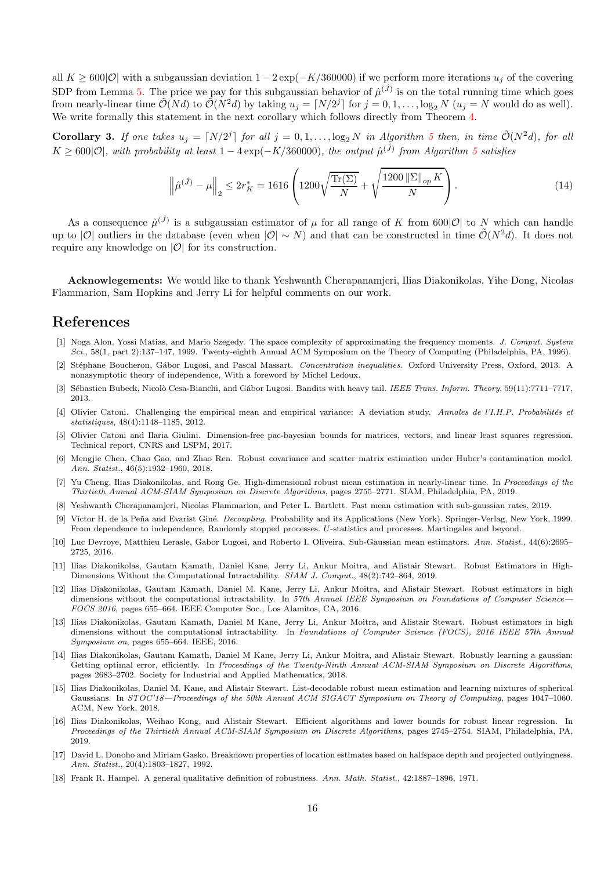all  $K > 600|\mathcal{O}|$  with a subgaussian deviation  $1 - 2 \exp(-K/360000)$  if we perform more iterations  $u_i$  of the covering SDP from Lemma [5.](#page-9-3) The price we pay for this subgaussian behavior of  $\hat{\mu}^{(\hat{J})}$  is on the total running time which goes from nearly-linear time  $\tilde{\mathcal{O}}(Nd)$  to  $\tilde{\mathcal{O}}(N^2d)$  by taking  $u_j = \lceil N/2^j \rceil$  for  $j = 0, 1, ..., \log_2 N$   $(u_j = N$  would do as well). We write formally this statement in the next corollary which follows directly from Theorem [4.](#page-14-2)

<span id="page-15-16"></span>**Corollary 3.** If one takes  $u_j = [N/2^j]$  for all  $j = 0, 1, ..., \log_2 N$  in Algorithm [5](#page-13-1) then, in time  $\tilde{\mathcal{O}}(N^2d)$ , for all  $K \geq 600|\mathcal{O}|$ , with probability at least  $1-4\exp(-K/360000)$ , the output  $\hat{\mu}^{(\hat{J})}$  from Algorithm [5](#page-13-1) satisfies

$$
\left\| \hat{\mu}^{(\hat{J})} - \mu \right\|_2 \le 2r_K^* = 1616 \left( 1200 \sqrt{\frac{\text{Tr}(\Sigma)}{N}} + \sqrt{\frac{1200 \, \|\Sigma\|_{op} K}{N}} \right). \tag{14}
$$

As a consequence  $\hat{\mu}^{(\hat{J})}$  is a subgaussian estimator of  $\mu$  for all range of K from 600|O| to N which can handle up to |O| outliers in the database (even when  $|O| \sim N$ ) and that can be constructed in time  $\tilde{\mathcal{O}}(N^2d)$ . It does not require any knowledge on  $|O|$  for its construction.

Acknowlegements: We would like to thank Yeshwanth Cherapanamjeri, Ilias Diakonikolas, Yihe Dong, Nicolas Flammarion, Sam Hopkins and Jerry Li for helpful comments on our work.

### <span id="page-15-15"></span>References

- [1] Noga Alon, Yossi Matias, and Mario Szegedy. The space complexity of approximating the frequency moments. J. Comput. System Sci., 58(1, part 2):137–147, 1999. Twenty-eighth Annual ACM Symposium on the Theory of Computing (Philadelphia, PA, 1996).
- <span id="page-15-17"></span>[2] Stéphane Boucheron, Gábor Lugosi, and Pascal Massart. Concentration inequalities. Oxford University Press, Oxford, 2013. A nonasymptotic theory of independence, With a foreword by Michel Ledoux.
- <span id="page-15-13"></span>[3] Sébastien Bubeck, Nicolò Cesa-Bianchi, and Gábor Lugosi. Bandits with heavy tail. IEEE Trans. Inform. Theory, 59(11):7711–7717, 2013.
- <span id="page-15-1"></span>[4] Olivier Catoni. Challenging the empirical mean and empirical variance: A deviation study. Annales de l'I.H.P. Probabilités et statistiques, 48(4):1148–1185, 2012.
- <span id="page-15-3"></span>[5] Olivier Catoni and Ilaria Giulini. Dimension-free pac-bayesian bounds for matrices, vectors, and linear least squares regression. Technical report, CNRS and LSPM, 2017.
- <span id="page-15-2"></span>[6] Mengjie Chen, Chao Gao, and Zhao Ren. Robust covariance and scatter matrix estimation under Huber's contamination model. Ann. Statist., 46(5):1932–1960, 2018.
- <span id="page-15-0"></span>[7] Yu Cheng, Ilias Diakonikolas, and Rong Ge. High-dimensional robust mean estimation in nearly-linear time. In Proceedings of the Thirtieth Annual ACM-SIAM Symposium on Discrete Algorithms, pages 2755–2771. SIAM, Philadelphia, PA, 2019.
- <span id="page-15-18"></span><span id="page-15-4"></span>[8] Yeshwanth Cherapanamjeri, Nicolas Flammarion, and Peter L. Bartlett. Fast mean estimation with sub-gaussian rates, 2019.
- [9] Víctor H. de la Peña and Evarist Giné. *Decoupling*. Probability and its Applications (New York). Springer-Verlag, New York, 1999. From dependence to independence, Randomly stopped processes. U-statistics and processes. Martingales and beyond.
- <span id="page-15-14"></span>[10] Luc Devroye, Matthieu Lerasle, Gabor Lugosi, and Roberto I. Oliveira. Sub-Gaussian mean estimators. Ann. Statist., 44(6):2695– 2725, 2016.
- <span id="page-15-6"></span>[11] Ilias Diakonikolas, Gautam Kamath, Daniel Kane, Jerry Li, Ankur Moitra, and Alistair Stewart. Robust Estimators in High-Dimensions Without the Computational Intractability. SIAM J. Comput., 48(2):742–864, 2019.
- <span id="page-15-5"></span>[12] Ilias Diakonikolas, Gautam Kamath, Daniel M. Kane, Jerry Li, Ankur Moitra, and Alistair Stewart. Robust estimators in high dimensions without the computational intractability. In 57th Annual IEEE Symposium on Foundations of Computer Science-FOCS 2016, pages 655–664. IEEE Computer Soc., Los Alamitos, CA, 2016.
- <span id="page-15-8"></span>[13] Ilias Diakonikolas, Gautam Kamath, Daniel M Kane, Jerry Li, Ankur Moitra, and Alistair Stewart. Robust estimators in high dimensions without the computational intractability. In Foundations of Computer Science (FOCS), 2016 IEEE 57th Annual Symposium on, pages 655–664. IEEE, 2016.
- <span id="page-15-7"></span>[14] Ilias Diakonikolas, Gautam Kamath, Daniel M Kane, Jerry Li, Ankur Moitra, and Alistair Stewart. Robustly learning a gaussian: Getting optimal error, efficiently. In Proceedings of the Twenty-Ninth Annual ACM-SIAM Symposium on Discrete Algorithms, pages 2683–2702. Society for Industrial and Applied Mathematics, 2018.
- <span id="page-15-9"></span>[15] Ilias Diakonikolas, Daniel M. Kane, and Alistair Stewart. List-decodable robust mean estimation and learning mixtures of spherical Gaussians. In STOC'18—Proceedings of the 50th Annual ACM SIGACT Symposium on Theory of Computing, pages 1047-1060. ACM, New York, 2018.
- <span id="page-15-10"></span>[16] Ilias Diakonikolas, Weihao Kong, and Alistair Stewart. Efficient algorithms and lower bounds for robust linear regression. In Proceedings of the Thirtieth Annual ACM-SIAM Symposium on Discrete Algorithms, pages 2745–2754. SIAM, Philadelphia, PA, 2019.
- <span id="page-15-12"></span>[17] David L. Donoho and Miriam Gasko. Breakdown properties of location estimates based on halfspace depth and projected outlyingness. Ann. Statist., 20(4):1803–1827, 1992.
- <span id="page-15-11"></span>[18] Frank R. Hampel. A general qualitative definition of robustness. Ann. Math. Statist., 42:1887–1896, 1971.